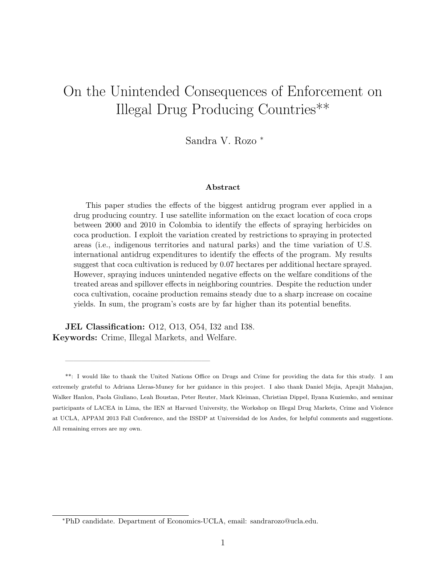# On the Unintended Consequences of Enforcement on Illegal Drug Producing Countries\*\*

Sandra V. Rozo <sup>∗</sup>

#### Abstract

This paper studies the effects of the biggest antidrug program ever applied in a drug producing country. I use satellite information on the exact location of coca crops between 2000 and 2010 in Colombia to identify the effects of spraying herbicides on coca production. I exploit the variation created by restrictions to spraying in protected areas (i.e., indigenous territories and natural parks) and the time variation of U.S. international antidrug expenditures to identify the effects of the program. My results suggest that coca cultivation is reduced by 0.07 hectares per additional hectare sprayed. However, spraying induces unintended negative effects on the welfare conditions of the treated areas and spillover effects in neighboring countries. Despite the reduction under coca cultivation, cocaine production remains steady due to a sharp increase on cocaine yields. In sum, the program's costs are by far higher than its potential benefits.

JEL Classification: O12, O13, O54, I32 and I38. Keywords: Crime, Illegal Markets, and Welfare.

—————————————————

<sup>\*\*:</sup> I would like to thank the United Nations Office on Drugs and Crime for providing the data for this study. I am extremely grateful to Adriana Lleras-Muney for her guidance in this project. I also thank Daniel Mejia, Aprajit Mahajan, Walker Hanlon, Paola Giuliano, Leah Boustan, Peter Reuter, Mark Kleiman, Christian Dippel, Ilyana Kuziemko, and seminar participants of LACEA in Lima, the IEN at Harvard University, the Workshop on Illegal Drug Markets, Crime and Violence at UCLA, APPAM 2013 Fall Conference, and the ISSDP at Universidad de los Andes, for helpful comments and suggestions. All remaining errors are my own.

<sup>∗</sup>PhD candidate. Department of Economics-UCLA, email: sandrarozo@ucla.edu.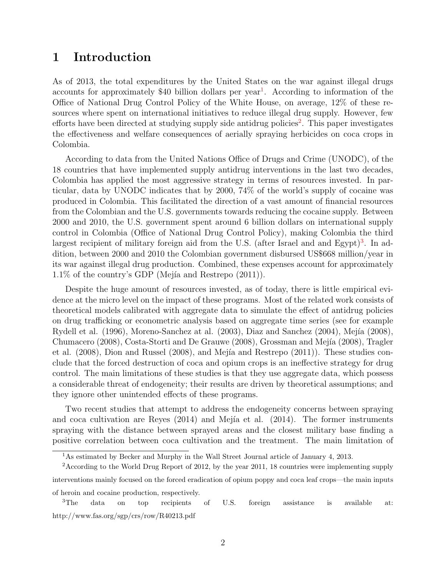### 1 Introduction

As of 2013, the total expenditures by the United States on the war against illegal drugs accounts for approximately \$40 billion dollars per year<sup>[1](#page-1-0)</sup>. According to information of the Office of National Drug Control Policy of the White House, on average, 12% of these resources where spent on international initiatives to reduce illegal drug supply. However, few efforts have been directed at studying supply side antidrug policies<sup>[2](#page-1-1)</sup>. This paper investigates the effectiveness and welfare consequences of aerially spraying herbicides on coca crops in Colombia.

According to data from the United Nations Office of Drugs and Crime (UNODC), of the 18 countries that have implemented supply antidrug interventions in the last two decades, Colombia has applied the most aggressive strategy in terms of resources invested. In particular, data by UNODC indicates that by 2000, 74% of the world's supply of cocaine was produced in Colombia. This facilitated the direction of a vast amount of financial resources from the Colombian and the U.S. governments towards reducing the cocaine supply. Between 2000 and 2010, the U.S. government spent around 6 billion dollars on international supply control in Colombia (Office of National Drug Control Policy), making Colombia the third largest recipient of military foreign aid from the U.S. (after Israel and and Egypt)<sup>[3](#page-1-2)</sup>. In addition, between 2000 and 2010 the Colombian government disbursed US\$668 million/year in its war against illegal drug production. Combined, these expenses account for approximately  $1.1\%$  of the country's GDP (Mejía and Restrepo  $(2011)$ ).

Despite the huge amount of resources invested, as of today, there is little empirical evidence at the micro level on the impact of these programs. Most of the related work consists of theoretical models calibrated with aggregate data to simulate the effect of antidrug policies on drug trafficking or econometric analysis based on aggregate time series (see for example Rydell et al. (1996), Moreno-Sanchez at al. (2003), Diaz and Sanchez (2004), Mejía (2008), Chumacero (2008), Costa-Storti and De Grauwe (2008), Grossman and Mejía (2008), Tragler et al.  $(2008)$ , Dion and Russel  $(2008)$ , and Mejía and Restrepo  $(2011)$ ). These studies conclude that the forced destruction of coca and opium crops is an ineffective strategy for drug control. The main limitations of these studies is that they use aggregate data, which possess a considerable threat of endogeneity; their results are driven by theoretical assumptions; and they ignore other unintended effects of these programs.

Two recent studies that attempt to address the endogeneity concerns between spraying and coca cultivation are Reyes  $(2014)$  and Mejía et al.  $(2014)$ . The former instruments spraying with the distance between sprayed areas and the closest military base finding a positive correlation between coca cultivation and the treatment. The main limitation of

<span id="page-1-1"></span><span id="page-1-0"></span><sup>&</sup>lt;sup>1</sup>As estimated by Becker and Murphy in the Wall Street Journal article of January 4, 2013.

<sup>&</sup>lt;sup>2</sup> According to the World Drug Report of 2012, by the year 2011, 18 countries were implementing supply interventions mainly focused on the forced eradication of opium poppy and coca leaf crops—the main inputs of heroin and cocaine production, respectively.

<span id="page-1-2"></span><sup>&</sup>lt;sup>3</sup>The data on top recipients of U.S. foreign assistance is available at: http://www.fas.org/sgp/crs/row/R40213.pdf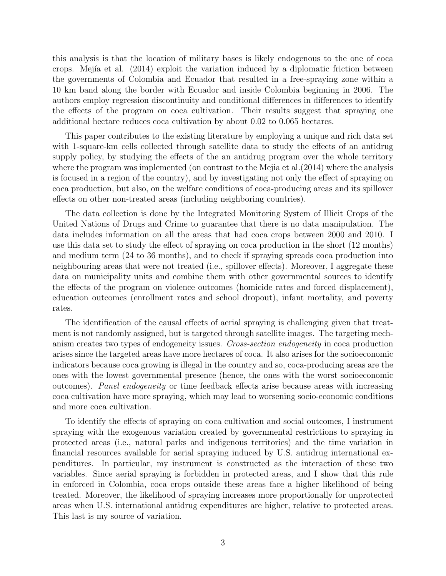this analysis is that the location of military bases is likely endogenous to the one of coca crops. Mejía et al. (2014) exploit the variation induced by a diplomatic friction between the governments of Colombia and Ecuador that resulted in a free-spraying zone within a 10 km band along the border with Ecuador and inside Colombia beginning in 2006. The authors employ regression discontinuity and conditional differences in differences to identify the effects of the program on coca cultivation. Their results suggest that spraying one additional hectare reduces coca cultivation by about 0.02 to 0.065 hectares.

This paper contributes to the existing literature by employing a unique and rich data set with 1-square-km cells collected through satellite data to study the effects of an antidrug supply policy, by studying the effects of the an antidrug program over the whole territory where the program was implemented (on contrast to the Mejia et al.(2014) where the analysis is focused in a region of the country), and by investigating not only the effect of spraying on coca production, but also, on the welfare conditions of coca-producing areas and its spillover effects on other non-treated areas (including neighboring countries).

The data collection is done by the Integrated Monitoring System of Illicit Crops of the United Nations of Drugs and Crime to guarantee that there is no data manipulation. The data includes information on all the areas that had coca crops between 2000 and 2010. I use this data set to study the effect of spraying on coca production in the short (12 months) and medium term (24 to 36 months), and to check if spraying spreads coca production into neighbouring areas that were not treated (i.e., spillover effects). Moreover, I aggregate these data on municipality units and combine them with other governmental sources to identify the effects of the program on violence outcomes (homicide rates and forced displacement), education outcomes (enrollment rates and school dropout), infant mortality, and poverty rates.

The identification of the causal effects of aerial spraying is challenging given that treatment is not randomly assigned, but is targeted through satellite images. The targeting mechanism creates two types of endogeneity issues. Cross-section endogeneity in coca production arises since the targeted areas have more hectares of coca. It also arises for the socioeconomic indicators because coca growing is illegal in the country and so, coca-producing areas are the ones with the lowest governmental presence (hence, the ones with the worst socioeconomic outcomes). Panel endogeneity or time feedback effects arise because areas with increasing coca cultivation have more spraying, which may lead to worsening socio-economic conditions and more coca cultivation.

To identify the effects of spraying on coca cultivation and social outcomes, I instrument spraying with the exogenous variation created by governmental restrictions to spraying in protected areas (i.e., natural parks and indigenous territories) and the time variation in financial resources available for aerial spraying induced by U.S. antidrug international expenditures. In particular, my instrument is constructed as the interaction of these two variables. Since aerial spraying is forbidden in protected areas, and I show that this rule in enforced in Colombia, coca crops outside these areas face a higher likelihood of being treated. Moreover, the likelihood of spraying increases more proportionally for unprotected areas when U.S. international antidrug expenditures are higher, relative to protected areas. This last is my source of variation.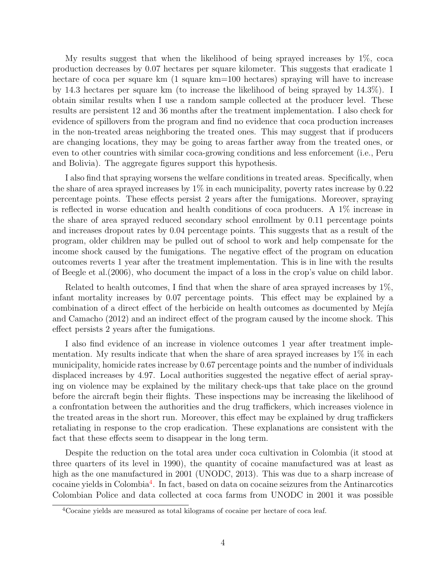My results suggest that when the likelihood of being sprayed increases by 1%, coca production decreases by 0.07 hectares per square kilometer. This suggests that eradicate 1 hectare of coca per square km (1 square km=100 hectares) spraying will have to increase by 14.3 hectares per square km (to increase the likelihood of being sprayed by 14.3%). I obtain similar results when I use a random sample collected at the producer level. These results are persistent 12 and 36 months after the treatment implementation. I also check for evidence of spillovers from the program and find no evidence that coca production increases in the non-treated areas neighboring the treated ones. This may suggest that if producers are changing locations, they may be going to areas farther away from the treated ones, or even to other countries with similar coca-growing conditions and less enforcement (i.e., Peru and Bolivia). The aggregate figures support this hypothesis.

I also find that spraying worsens the welfare conditions in treated areas. Specifically, when the share of area sprayed increases by 1% in each municipality, poverty rates increase by 0.22 percentage points. These effects persist 2 years after the fumigations. Moreover, spraying is reflected in worse education and health conditions of coca producers. A 1% increase in the share of area sprayed reduced secondary school enrollment by 0.11 percentage points and increases dropout rates by 0.04 percentage points. This suggests that as a result of the program, older children may be pulled out of school to work and help compensate for the income shock caused by the fumigations. The negative effect of the program on education outcomes reverts 1 year after the treatment implementation. This is in line with the results of Beegle et al.(2006), who document the impact of a loss in the crop's value on child labor.

Related to health outcomes, I find that when the share of area sprayed increases by 1%, infant mortality increases by 0.07 percentage points. This effect may be explained by a combination of a direct effect of the herbicide on health outcomes as documented by Mejía and Camacho (2012) and an indirect effect of the program caused by the income shock. This effect persists 2 years after the fumigations.

I also find evidence of an increase in violence outcomes 1 year after treatment implementation. My results indicate that when the share of area sprayed increases by 1% in each municipality, homicide rates increase by 0.67 percentage points and the number of individuals displaced increases by 4.97. Local authorities suggested the negative effect of aerial spraying on violence may be explained by the military check-ups that take place on the ground before the aircraft begin their flights. These inspections may be increasing the likelihood of a confrontation between the authorities and the drug traffickers, which increases violence in the treated areas in the short run. Moreover, this effect may be explained by drug traffickers retaliating in response to the crop eradication. These explanations are consistent with the fact that these effects seem to disappear in the long term.

Despite the reduction on the total area under coca cultivation in Colombia (it stood at three quarters of its level in 1990), the quantity of cocaine manufactured was at least as high as the one manufactured in 2001 (UNODC, 2013). This was due to a sharp increase of cocaine yields in Colombia<sup>[4](#page-3-0)</sup>. In fact, based on data on cocaine seizures from the Antinarcotics Colombian Police and data collected at coca farms from UNODC in 2001 it was possible

<span id="page-3-0"></span><sup>4</sup>Cocaine yields are measured as total kilograms of cocaine per hectare of coca leaf.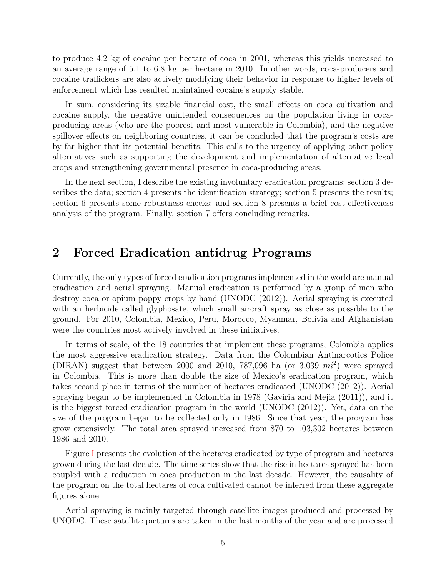to produce 4.2 kg of cocaine per hectare of coca in 2001, whereas this yields increased to an average range of 5.1 to 6.8 kg per hectare in 2010. In other words, coca-producers and cocaine traffickers are also actively modifying their behavior in response to higher levels of enforcement which has resulted maintained cocaine's supply stable.

In sum, considering its sizable financial cost, the small effects on coca cultivation and cocaine supply, the negative unintended consequences on the population living in cocaproducing areas (who are the poorest and most vulnerable in Colombia), and the negative spillover effects on neighboring countries, it can be concluded that the program's costs are by far higher that its potential benefits. This calls to the urgency of applying other policy alternatives such as supporting the development and implementation of alternative legal crops and strengthening governmental presence in coca-producing areas.

In the next section, I describe the existing involuntary eradication programs; section 3 describes the data; section 4 presents the identification strategy; section 5 presents the results; section 6 presents some robustness checks; and section 8 presents a brief cost-effectiveness analysis of the program. Finally, section 7 offers concluding remarks.

### 2 Forced Eradication antidrug Programs

Currently, the only types of forced eradication programs implemented in the world are manual eradication and aerial spraying. Manual eradication is performed by a group of men who destroy coca or opium poppy crops by hand (UNODC (2012)). Aerial spraying is executed with an herbicide called glyphosate, which small aircraft spray as close as possible to the ground. For 2010, Colombia, Mexico, Peru, Morocco, Myanmar, Bolivia and Afghanistan were the countries most actively involved in these initiatives.

In terms of scale, of the 18 countries that implement these programs, Colombia applies the most aggressive eradication strategy. Data from the Colombian Antinarcotics Police (DIRAN) suggest that between 2000 and 2010, 787,096 ha (or 3,039  $mi^2$ ) were sprayed in Colombia. This is more than double the size of Mexico's eradication program, which takes second place in terms of the number of hectares eradicated (UNODC (2012)). Aerial spraying began to be implemented in Colombia in 1978 (Gaviria and Mejia (2011)), and it is the biggest forced eradication program in the world (UNODC (2012)). Yet, data on the size of the program began to be collected only in 1986. Since that year, the program has grow extensively. The total area sprayed increased from 870 to 103,302 hectares between 1986 and 2010.

Figure [I](#page-29-0) presents the evolution of the hectares eradicated by type of program and hectares grown during the last decade. The time series show that the rise in hectares sprayed has been coupled with a reduction in coca production in the last decade. However, the causality of the program on the total hectares of coca cultivated cannot be inferred from these aggregate figures alone.

Aerial spraying is mainly targeted through satellite images produced and processed by UNODC. These satellite pictures are taken in the last months of the year and are processed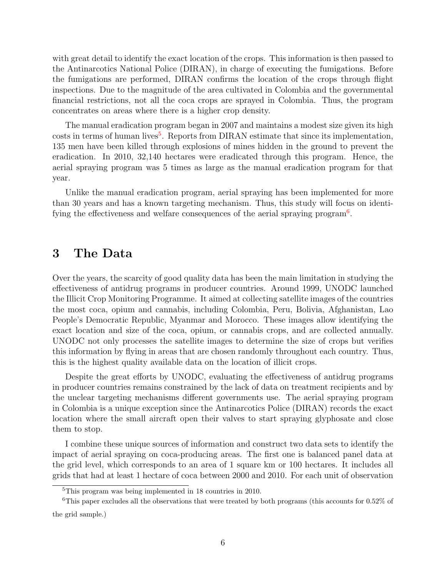with great detail to identify the exact location of the crops. This information is then passed to the Antinarcotics National Police (DIRAN), in charge of executing the fumigations. Before the fumigations are performed, DIRAN confirms the location of the crops through flight inspections. Due to the magnitude of the area cultivated in Colombia and the governmental financial restrictions, not all the coca crops are sprayed in Colombia. Thus, the program concentrates on areas where there is a higher crop density.

The manual eradication program began in 2007 and maintains a modest size given its high costs in terms of human lives<sup>[5](#page-5-0)</sup>. Reports from DIRAN estimate that since its implementation, 135 men have been killed through explosions of mines hidden in the ground to prevent the eradication. In 2010, 32,140 hectares were eradicated through this program. Hence, the aerial spraying program was 5 times as large as the manual eradication program for that year.

Unlike the manual eradication program, aerial spraying has been implemented for more than 30 years and has a known targeting mechanism. Thus, this study will focus on identi-fying the effectiveness and welfare consequences of the aerial spraying program<sup>[6](#page-5-1)</sup>.

### 3 The Data

Over the years, the scarcity of good quality data has been the main limitation in studying the effectiveness of antidrug programs in producer countries. Around 1999, UNODC launched the Illicit Crop Monitoring Programme. It aimed at collecting satellite images of the countries the most coca, opium and cannabis, including Colombia, Peru, Bolivia, Afghanistan, Lao People's Democratic Republic, Myanmar and Morocco. These images allow identifying the exact location and size of the coca, opium, or cannabis crops, and are collected annually. UNODC not only processes the satellite images to determine the size of crops but verifies this information by flying in areas that are chosen randomly throughout each country. Thus, this is the highest quality available data on the location of illicit crops.

Despite the great efforts by UNODC, evaluating the effectiveness of antidrug programs in producer countries remains constrained by the lack of data on treatment recipients and by the unclear targeting mechanisms different governments use. The aerial spraying program in Colombia is a unique exception since the Antinarcotics Police (DIRAN) records the exact location where the small aircraft open their valves to start spraying glyphosate and close them to stop.

I combine these unique sources of information and construct two data sets to identify the impact of aerial spraying on coca-producing areas. The first one is balanced panel data at the grid level, which corresponds to an area of 1 square km or 100 hectares. It includes all grids that had at least 1 hectare of coca between 2000 and 2010. For each unit of observation

<span id="page-5-1"></span><span id="page-5-0"></span><sup>5</sup>This program was being implemented in 18 countries in 2010.

<sup>&</sup>lt;sup>6</sup>This paper excludes all the observations that were treated by both programs (this accounts for  $0.52\%$  of the grid sample.)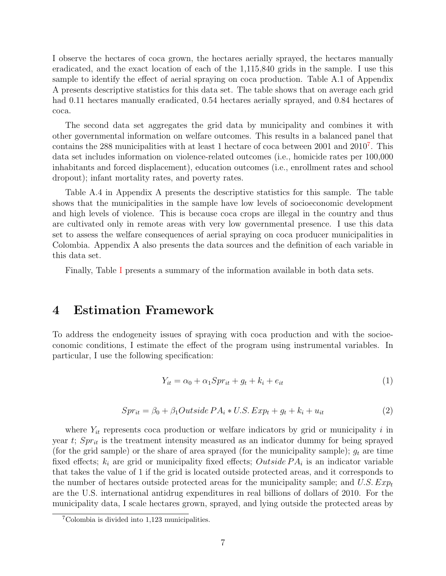I observe the hectares of coca grown, the hectares aerially sprayed, the hectares manually eradicated, and the exact location of each of the 1,115,840 grids in the sample. I use this sample to identify the effect of aerial spraying on coca production. Table A.1 of Appendix A presents descriptive statistics for this data set. The table shows that on average each grid had 0.11 hectares manually eradicated, 0.54 hectares aerially sprayed, and 0.84 hectares of coca.

The second data set aggregates the grid data by municipality and combines it with other governmental information on welfare outcomes. This results in a balanced panel that contains the 288 municipalities with at least 1 hectare of coca between 2001 and 2010<sup>[7](#page-6-0)</sup>. This data set includes information on violence-related outcomes (i.e., homicide rates per 100,000 inhabitants and forced displacement), education outcomes (i.e., enrollment rates and school dropout); infant mortality rates, and poverty rates.

Table A.4 in Appendix A presents the descriptive statistics for this sample. The table shows that the municipalities in the sample have low levels of socioeconomic development and high levels of violence. This is because coca crops are illegal in the country and thus are cultivated only in remote areas with very low governmental presence. I use this data set to assess the welfare consequences of aerial spraying on coca producer municipalities in Colombia. Appendix A also presents the data sources and the definition of each variable in this data set.

Finally, Table [I](#page-20-0) presents a summary of the information available in both data sets.

### 4 Estimation Framework

To address the endogeneity issues of spraying with coca production and with the socioeconomic conditions, I estimate the effect of the program using instrumental variables. In particular, I use the following specification:

$$
Y_{it} = \alpha_0 + \alpha_1 Spr_{it} + g_t + k_i + e_{it}
$$
\n<sup>(1)</sup>

$$
Spr_{it} = \beta_0 + \beta_1 Outside\ PA_i * U.S.\ Exp_t + g_t + k_i + u_{it} \tag{2}
$$

where  $Y_{it}$  represents coca production or welfare indicators by grid or municipality i in year t;  $Spr_{it}$  is the treatment intensity measured as an indicator dummy for being sprayed (for the grid sample) or the share of area sprayed (for the municipality sample);  $g_t$  are time fixed effects;  $k_i$  are grid or municipality fixed effects; *Outside*  $PA_i$  is an indicator variable that takes the value of 1 if the grid is located outside protected areas, and it corresponds to the number of hectares outside protected areas for the municipality sample; and U.S.  $Exp<sub>t</sub>$ are the U.S. international antidrug expenditures in real billions of dollars of 2010. For the municipality data, I scale hectares grown, sprayed, and lying outside the protected areas by

<span id="page-6-0"></span><sup>7</sup>Colombia is divided into 1,123 municipalities.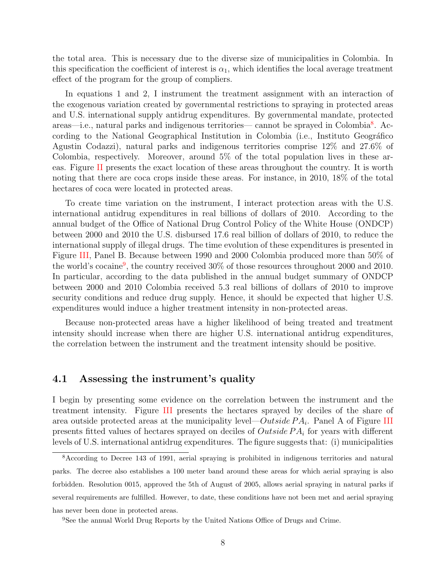the total area. This is necessary due to the diverse size of municipalities in Colombia. In this specification the coefficient of interest is  $\alpha_1$ , which identifies the local average treatment effect of the program for the group of compliers.

In equations 1 and 2, I instrument the treatment assignment with an interaction of the exogenous variation created by governmental restrictions to spraying in protected areas and U.S. international supply antidrug expenditures. By governmental mandate, protected areas—i.e., natural parks and indigenous territories— cannot be sprayed in Colombia<sup>[8](#page-7-0)</sup>. According to the National Geographical Institution in Colombia (i.e., Instituto Geográfico Agustin Codazzi), natural parks and indigenous territories comprise 12% and 27.6% of Colombia, respectively. Moreover, around 5% of the total population lives in these areas. Figure [II](#page-30-0) presents the exact location of these areas throughout the country. It is worth noting that there are coca crops inside these areas. For instance, in 2010, 18% of the total hectares of coca were located in protected areas.

To create time variation on the instrument, I interact protection areas with the U.S. international antidrug expenditures in real billions of dollars of 2010. According to the annual budget of the Office of National Drug Control Policy of the White House (ONDCP) between 2000 and 2010 the U.S. disbursed 17.6 real billion of dollars of 2010, to reduce the international supply of illegal drugs. The time evolution of these expenditures is presented in Figure [III,](#page-31-0) Panel B. Because between 1990 and 2000 Colombia produced more than 50% of the world's cocaine<sup>[9](#page-7-1)</sup>, the country received 30% of those resources throughout 2000 and 2010. In particular, according to the data published in the annual budget summary of ONDCP between 2000 and 2010 Colombia received 5.3 real billions of dollars of 2010 to improve security conditions and reduce drug supply. Hence, it should be expected that higher U.S. expenditures would induce a higher treatment intensity in non-protected areas.

Because non-protected areas have a higher likelihood of being treated and treatment intensity should increase when there are higher U.S. international antidrug expenditures, the correlation between the instrument and the treatment intensity should be positive.

#### 4.1 Assessing the instrument's quality

I begin by presenting some evidence on the correlation between the instrument and the treatment intensity. Figure [III](#page-31-0) presents the hectares sprayed by deciles of the share of area outside protected areas at the municipality level— $Outside PA<sub>i</sub>$ . Panel A of Figure [III](#page-31-0) presents fitted values of hectares sprayed on deciles of  $Outside PA<sub>i</sub>$  for years with different levels of U.S. international antidrug expenditures. The figure suggests that: (i) municipalities

<span id="page-7-0"></span><sup>8</sup>According to Decree 143 of 1991, aerial spraying is prohibited in indigenous territories and natural parks. The decree also establishes a 100 meter band around these areas for which aerial spraying is also forbidden. Resolution 0015, approved the 5th of August of 2005, allows aerial spraying in natural parks if several requirements are fulfilled. However, to date, these conditions have not been met and aerial spraying has never been done in protected areas.

<span id="page-7-1"></span><sup>9</sup>See the annual World Drug Reports by the United Nations Office of Drugs and Crime.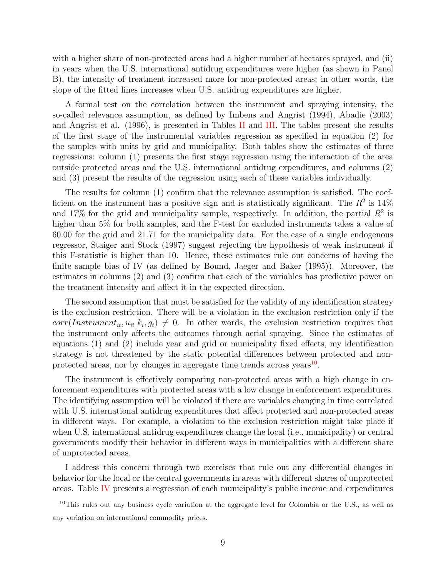with a higher share of non-protected areas had a higher number of hectares sprayed, and (ii) in years when the U.S. international antidrug expenditures were higher (as shown in Panel B), the intensity of treatment increased more for non-protected areas; in other words, the slope of the fitted lines increases when U.S. antidrug expenditures are higher.

A formal test on the correlation between the instrument and spraying intensity, the so-called relevance assumption, as defined by Imbens and Angrist (1994), Abadie (2003) and Angrist et al. (1996), is presented in Tables [II](#page-21-0) and [III.](#page-22-0) The tables present the results of the first stage of the instrumental variables regression as specified in equation (2) for the samples with units by grid and municipality. Both tables show the estimates of three regressions: column (1) presents the first stage regression using the interaction of the area outside protected areas and the U.S. international antidrug expenditures, and columns (2) and (3) present the results of the regression using each of these variables individually.

The results for column (1) confirm that the relevance assumption is satisfied. The coefficient on the instrument has a positive sign and is statistically significant. The  $R^2$  is 14% and 17% for the grid and municipality sample, respectively. In addition, the partial  $R^2$  is higher than 5% for both samples, and the F-test for excluded instruments takes a value of 60.00 for the grid and 21.71 for the municipality data. For the case of a single endogenous regressor, Staiger and Stock (1997) suggest rejecting the hypothesis of weak instrument if this F-statistic is higher than 10. Hence, these estimates rule out concerns of having the finite sample bias of IV (as defined by Bound, Jaeger and Baker (1995)). Moreover, the estimates in columns (2) and (3) confirm that each of the variables has predictive power on the treatment intensity and affect it in the expected direction.

The second assumption that must be satisfied for the validity of my identification strategy is the exclusion restriction. There will be a violation in the exclusion restriction only if the  $corr(Instrument_{it}, u_{it}|k_i, g_t) \neq 0$ . In other words, the exclusion restriction requires that the instrument only affects the outcomes through aerial spraying. Since the estimates of equations (1) and (2) include year and grid or municipality fixed effects, my identification strategy is not threatened by the static potential differences between protected and non-protected areas, nor by changes in aggregate time trends across years<sup>[10](#page-8-0)</sup>.

The instrument is effectively comparing non-protected areas with a high change in enforcement expenditures with protected areas with a low change in enforcement expenditures. The identifying assumption will be violated if there are variables changing in time correlated with U.S. international antidrug expenditures that affect protected and non-protected areas in different ways. For example, a violation to the exclusion restriction might take place if when U.S. international antidrug expenditures change the local (i.e., municipality) or central governments modify their behavior in different ways in municipalities with a different share of unprotected areas.

I address this concern through two exercises that rule out any differential changes in behavior for the local or the central governments in areas with different shares of unprotected areas. Table [IV](#page-23-0) presents a regression of each municipality's public income and expenditures

<span id="page-8-0"></span><sup>10</sup>This rules out any business cycle variation at the aggregate level for Colombia or the U.S., as well as any variation on international commodity prices.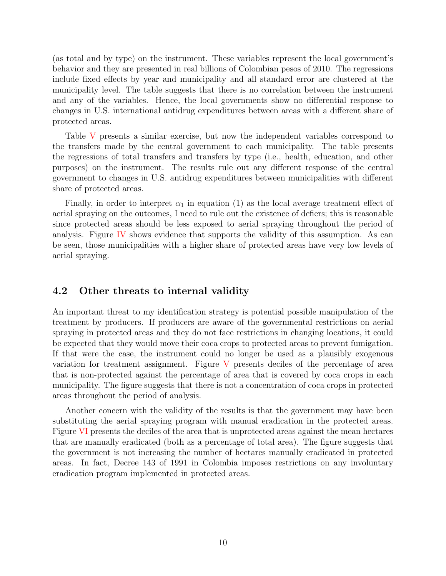(as total and by type) on the instrument. These variables represent the local government's behavior and they are presented in real billions of Colombian pesos of 2010. The regressions include fixed effects by year and municipality and all standard error are clustered at the municipality level. The table suggests that there is no correlation between the instrument and any of the variables. Hence, the local governments show no differential response to changes in U.S. international antidrug expenditures between areas with a different share of protected areas.

Table [V](#page-24-0) presents a similar exercise, but now the independent variables correspond to the transfers made by the central government to each municipality. The table presents the regressions of total transfers and transfers by type (i.e., health, education, and other purposes) on the instrument. The results rule out any different response of the central government to changes in U.S. antidrug expenditures between municipalities with different share of protected areas.

Finally, in order to interpret  $\alpha_1$  in equation (1) as the local average treatment effect of aerial spraying on the outcomes, I need to rule out the existence of defiers; this is reasonable since protected areas should be less exposed to aerial spraying throughout the period of analysis. Figure [IV](#page-32-0) shows evidence that supports the validity of this assumption. As can be seen, those municipalities with a higher share of protected areas have very low levels of aerial spraying.

#### 4.2 Other threats to internal validity

An important threat to my identification strategy is potential possible manipulation of the treatment by producers. If producers are aware of the governmental restrictions on aerial spraying in protected areas and they do not face restrictions in changing locations, it could be expected that they would move their coca crops to protected areas to prevent fumigation. If that were the case, the instrument could no longer be used as a plausibly exogenous variation for treatment assignment. Figure [V](#page-33-0) presents deciles of the percentage of area that is non-protected against the percentage of area that is covered by coca crops in each municipality. The figure suggests that there is not a concentration of coca crops in protected areas throughout the period of analysis.

Another concern with the validity of the results is that the government may have been substituting the aerial spraying program with manual eradication in the protected areas. Figure [VI](#page-34-0) presents the deciles of the area that is unprotected areas against the mean hectares that are manually eradicated (both as a percentage of total area). The figure suggests that the government is not increasing the number of hectares manually eradicated in protected areas. In fact, Decree 143 of 1991 in Colombia imposes restrictions on any involuntary eradication program implemented in protected areas.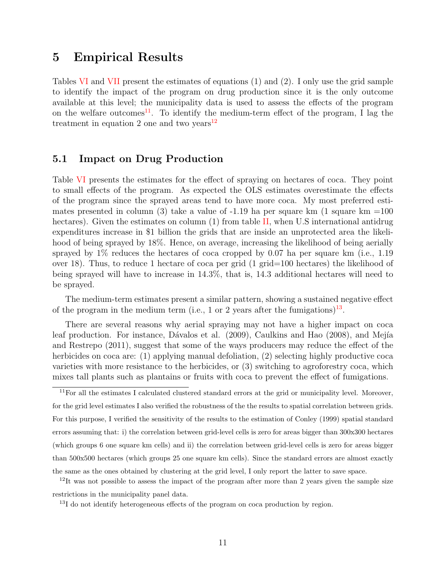### 5 Empirical Results

Tables [VI](#page-25-0) and [VII](#page-26-0) present the estimates of equations (1) and (2). I only use the grid sample to identify the impact of the program on drug production since it is the only outcome available at this level; the municipality data is used to assess the effects of the program on the welfare outcomes<sup>[11](#page-10-0)</sup>. To identify the medium-term effect of the program, I lag the treatment in equation 2 one and two years $12$ 

#### 5.1 Impact on Drug Production

Table [VI](#page-25-0) presents the estimates for the effect of spraying on hectares of coca. They point to small effects of the program. As expected the OLS estimates overestimate the effects of the program since the sprayed areas tend to have more coca. My most preferred estimates presented in column (3) take a value of  $-1.19$  ha per square km (1 square km  $=100$ hectares). Given the estimates on column (1) from table [II,](#page-21-0) when U.S international antidrug expenditures increase in \$1 billion the grids that are inside an unprotected area the likelihood of being sprayed by 18%. Hence, on average, increasing the likelihood of being aerially sprayed by  $1\%$  reduces the hectares of coca cropped by 0.07 ha per square km (i.e., 1.19 over 18). Thus, to reduce 1 hectare of coca per grid (1 grid=100 hectares) the likelihood of being sprayed will have to increase in 14.3%, that is, 14.3 additional hectares will need to be sprayed.

The medium-term estimates present a similar pattern, showing a sustained negative effect of the program in the medium term (i.e., 1 or 2 years after the fumigations)<sup>[13](#page-10-2)</sup>.

There are several reasons why aerial spraying may not have a higher impact on coca leaf production. For instance, Dávalos et al. (2009), Caulkins and Hao (2008), and Mejía and Restrepo (2011), suggest that some of the ways producers may reduce the effect of the herbicides on coca are: (1) applying manual defoliation, (2) selecting highly productive coca varieties with more resistance to the herbicides, or (3) switching to agroforestry coca, which mixes tall plants such as plantains or fruits with coca to prevent the effect of fumigations.

<span id="page-10-0"></span> $11$ For all the estimates I calculated clustered standard errors at the grid or municipality level. Moreover, for the grid level estimates I also verified the robustness of the the results to spatial correlation between grids. For this purpose, I verified the sensitivity of the results to the estimation of Conley (1999) spatial standard errors assuming that: i) the correlation between grid-level cells is zero for areas bigger than 300x300 hectares (which groups 6 one square km cells) and ii) the correlation between grid-level cells is zero for areas bigger than 500x500 hectares (which groups 25 one square km cells). Since the standard errors are almost exactly the same as the ones obtained by clustering at the grid level, I only report the latter to save space.

<span id="page-10-1"></span> $12$ It was not possible to assess the impact of the program after more than 2 years given the sample size restrictions in the municipality panel data.

<span id="page-10-2"></span> $^{13}$ I do not identify heterogeneous effects of the program on coca production by region.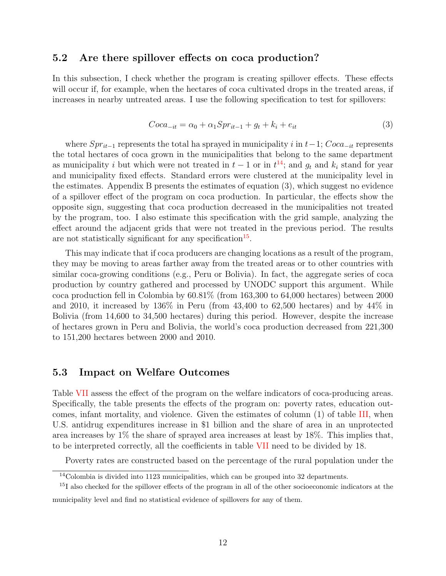#### 5.2 Are there spillover effects on coca production?

In this subsection, I check whether the program is creating spillover effects. These effects will occur if, for example, when the hectares of coca cultivated drops in the treated areas, if increases in nearby untreated areas. I use the following specification to test for spillovers:

$$
Coca_{-it} = \alpha_0 + \alpha_1 Spr_{it-1} + g_t + k_i + e_{it}
$$
\n
$$
(3)
$$

where  $Spr_{it-1}$  represents the total ha sprayed in municipality i in  $t-1$ ;  $Coca_{-it}$  represents the total hectares of coca grown in the municipalities that belong to the same department as municipality i but which were not treated in  $t-1$  or in  $t^{14}$  $t^{14}$  $t^{14}$ ; and  $g_t$  and  $k_i$  stand for year and municipality fixed effects. Standard errors were clustered at the municipality level in the estimates. Appendix B presents the estimates of equation (3), which suggest no evidence of a spillover effect of the program on coca production. In particular, the effects show the opposite sign, suggesting that coca production decreased in the municipalities not treated by the program, too. I also estimate this specification with the grid sample, analyzing the effect around the adjacent grids that were not treated in the previous period. The results are not statistically significant for any specification<sup>[15](#page-11-1)</sup>.

This may indicate that if coca producers are changing locations as a result of the program, they may be moving to areas farther away from the treated areas or to other countries with similar coca-growing conditions (e.g., Peru or Bolivia). In fact, the aggregate series of coca production by country gathered and processed by UNODC support this argument. While coca production fell in Colombia by 60.81% (from 163,300 to 64,000 hectares) between 2000 and 2010, it increased by  $136\%$  in Peru (from  $43,400$  to  $62,500$  hectares) and by  $44\%$  in Bolivia (from 14,600 to 34,500 hectares) during this period. However, despite the increase of hectares grown in Peru and Bolivia, the world's coca production decreased from 221,300 to 151,200 hectares between 2000 and 2010.

#### 5.3 Impact on Welfare Outcomes

Table [VII](#page-26-0) assess the effect of the program on the welfare indicators of coca-producing areas. Specifically, the table presents the effects of the program on: poverty rates, education outcomes, infant mortality, and violence. Given the estimates of column (1) of table [III,](#page-22-0) when U.S. antidrug expenditures increase in \$1 billion and the share of area in an unprotected area increases by  $1\%$  the share of sprayed area increases at least by  $18\%$ . This implies that, to be interpreted correctly, all the coefficients in table [VII](#page-26-0) need to be divided by 18.

Poverty rates are constructed based on the percentage of the rural population under the

<span id="page-11-1"></span><span id="page-11-0"></span> $14$ Colombia is divided into 1123 municipalities, which can be grouped into 32 departments.

<sup>&</sup>lt;sup>15</sup>I also checked for the spillover effects of the program in all of the other socioeconomic indicators at the municipality level and find no statistical evidence of spillovers for any of them.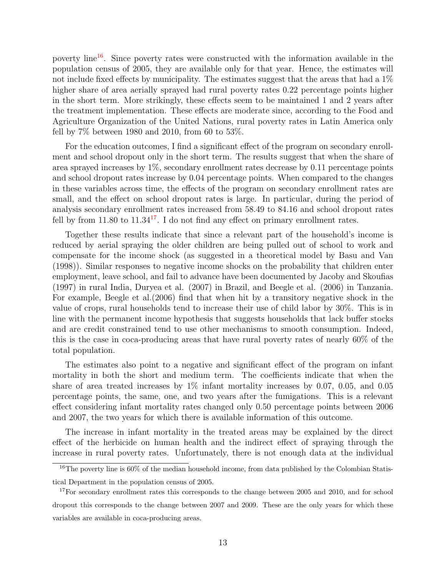poverty line[16](#page-12-0). Since poverty rates were constructed with the information available in the population census of 2005, they are available only for that year. Hence, the estimates will not include fixed effects by municipality. The estimates suggest that the areas that had a  $1\%$ higher share of area aerially sprayed had rural poverty rates 0.22 percentage points higher in the short term. More strikingly, these effects seem to be maintained 1 and 2 years after the treatment implementation. These effects are moderate since, according to the Food and Agriculture Organization of the United Nations, rural poverty rates in Latin America only fell by  $7\%$  between 1980 and 2010, from 60 to 53%.

For the education outcomes, I find a significant effect of the program on secondary enrollment and school dropout only in the short term. The results suggest that when the share of area sprayed increases by 1%, secondary enrollment rates decrease by 0.11 percentage points and school dropout rates increase by 0.04 percentage points. When compared to the changes in these variables across time, the effects of the program on secondary enrollment rates are small, and the effect on school dropout rates is large. In particular, during the period of analysis secondary enrollment rates increased from 58.49 to 84.16 and school dropout rates fell by from  $11.80$  to  $11.34<sup>17</sup>$  $11.34<sup>17</sup>$  $11.34<sup>17</sup>$ . I do not find any effect on primary enrollment rates.

Together these results indicate that since a relevant part of the household's income is reduced by aerial spraying the older children are being pulled out of school to work and compensate for the income shock (as suggested in a theoretical model by Basu and Van (1998)). Similar responses to negative income shocks on the probability that children enter employment, leave school, and fail to advance have been documented by Jacoby and Skoufias (1997) in rural India, Duryea et al. (2007) in Brazil, and Beegle et al. (2006) in Tanzania. For example, Beegle et al.(2006) find that when hit by a transitory negative shock in the value of crops, rural households tend to increase their use of child labor by 30%. This is in line with the permanent income hypothesis that suggests households that lack buffer stocks and are credit constrained tend to use other mechanisms to smooth consumption. Indeed, this is the case in coca-producing areas that have rural poverty rates of nearly 60% of the total population.

The estimates also point to a negative and significant effect of the program on infant mortality in both the short and medium term. The coefficients indicate that when the share of area treated increases by  $1\%$  infant mortality increases by 0.07, 0.05, and 0.05 percentage points, the same, one, and two years after the fumigations. This is a relevant effect considering infant mortality rates changed only 0.50 percentage points between 2006 and 2007, the two years for which there is available information of this outcome.

The increase in infant mortality in the treated areas may be explained by the direct effect of the herbicide on human health and the indirect effect of spraying through the increase in rural poverty rates. Unfortunately, there is not enough data at the individual

<span id="page-12-0"></span><sup>&</sup>lt;sup>16</sup>The poverty line is 60% of the median household income, from data published by the Colombian Statistical Department in the population census of 2005.

<span id="page-12-1"></span><sup>&</sup>lt;sup>17</sup>For secondary enrollment rates this corresponds to the change between 2005 and 2010, and for school dropout this corresponds to the change between 2007 and 2009. These are the only years for which these variables are available in coca-producing areas.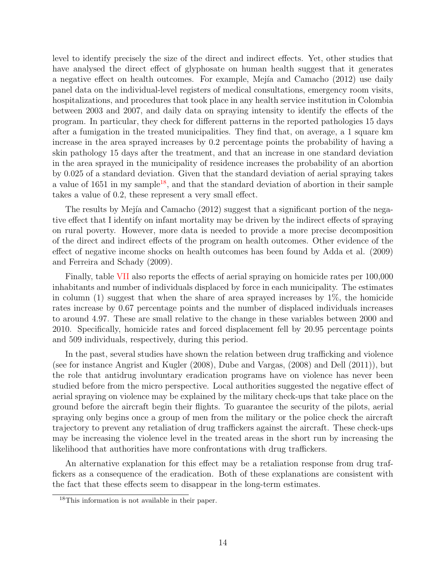level to identify precisely the size of the direct and indirect effects. Yet, other studies that have analysed the direct effect of glyphosate on human health suggest that it generates a negative effect on health outcomes. For example, Mejía and Camacho (2012) use daily panel data on the individual-level registers of medical consultations, emergency room visits, hospitalizations, and procedures that took place in any health service institution in Colombia between 2003 and 2007, and daily data on spraying intensity to identify the effects of the program. In particular, they check for different patterns in the reported pathologies 15 days after a fumigation in the treated municipalities. They find that, on average, a 1 square km increase in the area sprayed increases by 0.2 percentage points the probability of having a skin pathology 15 days after the treatment, and that an increase in one standard deviation in the area sprayed in the municipality of residence increases the probability of an abortion by 0.025 of a standard deviation. Given that the standard deviation of aerial spraying takes a value of  $1651$  in my sample<sup>[18](#page-13-0)</sup>, and that the standard deviation of abortion in their sample takes a value of 0.2, these represent a very small effect.

The results by Mejía and Camacho  $(2012)$  suggest that a significant portion of the negative effect that I identify on infant mortality may be driven by the indirect effects of spraying on rural poverty. However, more data is needed to provide a more precise decomposition of the direct and indirect effects of the program on health outcomes. Other evidence of the effect of negative income shocks on health outcomes has been found by Adda et al. (2009) and Ferreira and Schady (2009).

Finally, table [VII](#page-26-0) also reports the effects of aerial spraying on homicide rates per 100,000 inhabitants and number of individuals displaced by force in each municipality. The estimates in column  $(1)$  suggest that when the share of area sprayed increases by  $1\%$ , the homicide rates increase by 0.67 percentage points and the number of displaced individuals increases to around 4.97. These are small relative to the change in these variables between 2000 and 2010. Specifically, homicide rates and forced displacement fell by 20.95 percentage points and 509 individuals, respectively, during this period.

In the past, several studies have shown the relation between drug trafficking and violence (see for instance Angrist and Kugler (2008), Dube and Vargas, (2008) and Dell (2011)), but the role that antidrug involuntary eradication programs have on violence has never been studied before from the micro perspective. Local authorities suggested the negative effect of aerial spraying on violence may be explained by the military check-ups that take place on the ground before the aircraft begin their flights. To guarantee the security of the pilots, aerial spraying only begins once a group of men from the military or the police check the aircraft trajectory to prevent any retaliation of drug traffickers against the aircraft. These check-ups may be increasing the violence level in the treated areas in the short run by increasing the likelihood that authorities have more confrontations with drug traffickers.

An alternative explanation for this effect may be a retaliation response from drug traffickers as a consequence of the eradication. Both of these explanations are consistent with the fact that these effects seem to disappear in the long-term estimates.

<span id="page-13-0"></span><sup>18</sup>This information is not available in their paper.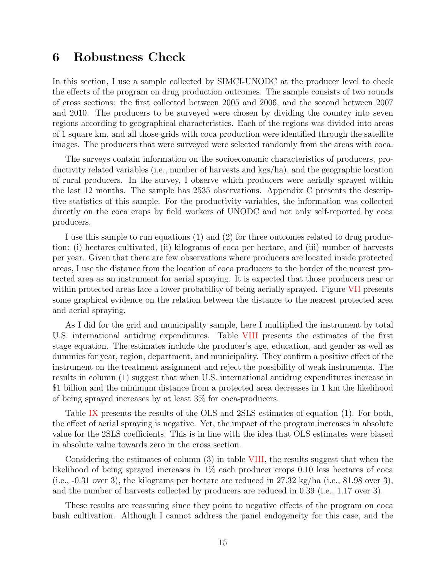### 6 Robustness Check

In this section, I use a sample collected by SIMCI-UNODC at the producer level to check the effects of the program on drug production outcomes. The sample consists of two rounds of cross sections: the first collected between 2005 and 2006, and the second between 2007 and 2010. The producers to be surveyed were chosen by dividing the country into seven regions according to geographical characteristics. Each of the regions was divided into areas of 1 square km, and all those grids with coca production were identified through the satellite images. The producers that were surveyed were selected randomly from the areas with coca.

The surveys contain information on the socioeconomic characteristics of producers, productivity related variables (i.e., number of harvests and kgs/ha), and the geographic location of rural producers. In the survey, I observe which producers were aerially sprayed within the last 12 months. The sample has 2535 observations. Appendix C presents the descriptive statistics of this sample. For the productivity variables, the information was collected directly on the coca crops by field workers of UNODC and not only self-reported by coca producers.

I use this sample to run equations (1) and (2) for three outcomes related to drug production: (i) hectares cultivated, (ii) kilograms of coca per hectare, and (iii) number of harvests per year. Given that there are few observations where producers are located inside protected areas, I use the distance from the location of coca producers to the border of the nearest protected area as an instrument for aerial spraying. It is expected that those producers near or within protected areas face a lower probability of being aerially sprayed. Figure [VII](#page-35-0) presents some graphical evidence on the relation between the distance to the nearest protected area and aerial spraying.

As I did for the grid and municipality sample, here I multiplied the instrument by total U.S. international antidrug expenditures. Table [VIII](#page-27-0) presents the estimates of the first stage equation. The estimates include the producer's age, education, and gender as well as dummies for year, region, department, and municipality. They confirm a positive effect of the instrument on the treatment assignment and reject the possibility of weak instruments. The results in column (1) suggest that when U.S. international antidrug expenditures increase in \$1 billion and the minimum distance from a protected area decreases in 1 km the likelihood of being sprayed increases by at least 3% for coca-producers.

Table [IX](#page-28-0) presents the results of the OLS and 2SLS estimates of equation (1). For both, the effect of aerial spraying is negative. Yet, the impact of the program increases in absolute value for the 2SLS coefficients. This is in line with the idea that OLS estimates were biased in absolute value towards zero in the cross section.

Considering the estimates of column (3) in table [VIII,](#page-27-0) the results suggest that when the likelihood of being sprayed increases in 1% each producer crops 0.10 less hectares of coca (i.e.,  $-0.31$  over 3), the kilograms per hectare are reduced in 27.32 kg/ha (i.e., 81.98 over 3), and the number of harvests collected by producers are reduced in 0.39 (i.e., 1.17 over 3).

These results are reassuring since they point to negative effects of the program on coca bush cultivation. Although I cannot address the panel endogeneity for this case, and the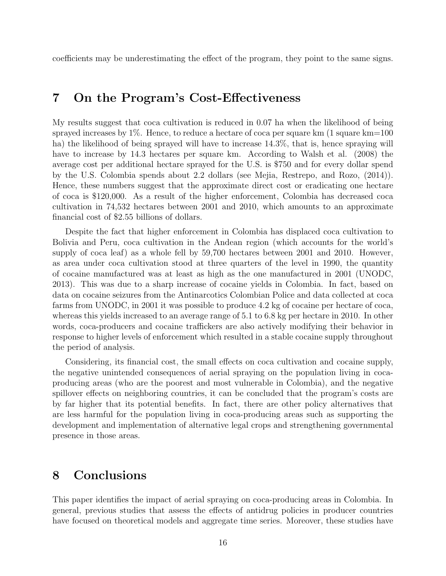coefficients may be underestimating the effect of the program, they point to the same signs.

### 7 On the Program's Cost-Effectiveness

My results suggest that coca cultivation is reduced in 0.07 ha when the likelihood of being sprayed increases by  $1\%$ . Hence, to reduce a hectare of coca per square km  $(1 \text{ square km}=100$ ha) the likelihood of being sprayed will have to increase 14.3%, that is, hence spraying will have to increase by 14.3 hectares per square km. According to Walsh et al. (2008) the average cost per additional hectare sprayed for the U.S. is \$750 and for every dollar spend by the U.S. Colombia spends about 2.2 dollars (see Mejia, Restrepo, and Rozo, (2014)). Hence, these numbers suggest that the approximate direct cost or eradicating one hectare of coca is \$120,000. As a result of the higher enforcement, Colombia has decreased coca cultivation in 74,532 hectares between 2001 and 2010, which amounts to an approximate financial cost of \$2.55 billions of dollars.

Despite the fact that higher enforcement in Colombia has displaced coca cultivation to Bolivia and Peru, coca cultivation in the Andean region (which accounts for the world's supply of coca leaf) as a whole fell by 59,700 hectares between 2001 and 2010. However, as area under coca cultivation stood at three quarters of the level in 1990, the quantity of cocaine manufactured was at least as high as the one manufactured in 2001 (UNODC, 2013). This was due to a sharp increase of cocaine yields in Colombia. In fact, based on data on cocaine seizures from the Antinarcotics Colombian Police and data collected at coca farms from UNODC, in 2001 it was possible to produce 4.2 kg of cocaine per hectare of coca, whereas this yields increased to an average range of 5.1 to 6.8 kg per hectare in 2010. In other words, coca-producers and cocaine traffickers are also actively modifying their behavior in response to higher levels of enforcement which resulted in a stable cocaine supply throughout the period of analysis.

Considering, its financial cost, the small effects on coca cultivation and cocaine supply, the negative unintended consequences of aerial spraying on the population living in cocaproducing areas (who are the poorest and most vulnerable in Colombia), and the negative spillover effects on neighboring countries, it can be concluded that the program's costs are by far higher that its potential benefits. In fact, there are other policy alternatives that are less harmful for the population living in coca-producing areas such as supporting the development and implementation of alternative legal crops and strengthening governmental presence in those areas.

### 8 Conclusions

This paper identifies the impact of aerial spraying on coca-producing areas in Colombia. In general, previous studies that assess the effects of antidrug policies in producer countries have focused on theoretical models and aggregate time series. Moreover, these studies have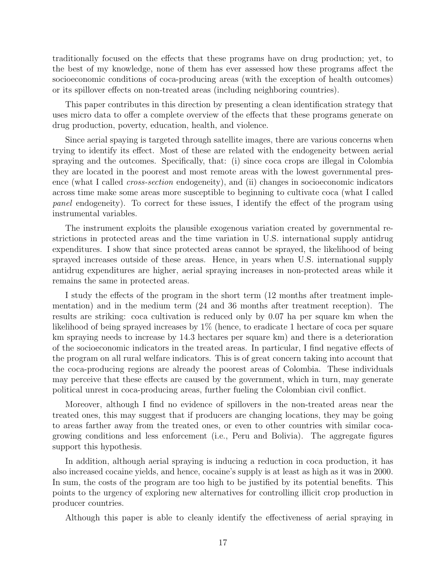traditionally focused on the effects that these programs have on drug production; yet, to the best of my knowledge, none of them has ever assessed how these programs affect the socioeconomic conditions of coca-producing areas (with the exception of health outcomes) or its spillover effects on non-treated areas (including neighboring countries).

This paper contributes in this direction by presenting a clean identification strategy that uses micro data to offer a complete overview of the effects that these programs generate on drug production, poverty, education, health, and violence.

Since aerial spaying is targeted through satellite images, there are various concerns when trying to identify its effect. Most of these are related with the endogeneity between aerial spraying and the outcomes. Specifically, that: (i) since coca crops are illegal in Colombia they are located in the poorest and most remote areas with the lowest governmental presence (what I called *cross-section* endogeneity), and (ii) changes in socioeconomic indicators across time make some areas more susceptible to beginning to cultivate coca (what I called panel endogeneity). To correct for these issues, I identify the effect of the program using instrumental variables.

The instrument exploits the plausible exogenous variation created by governmental restrictions in protected areas and the time variation in U.S. international supply antidrug expenditures. I show that since protected areas cannot be sprayed, the likelihood of being sprayed increases outside of these areas. Hence, in years when U.S. international supply antidrug expenditures are higher, aerial spraying increases in non-protected areas while it remains the same in protected areas.

I study the effects of the program in the short term (12 months after treatment implementation) and in the medium term (24 and 36 months after treatment reception). The results are striking: coca cultivation is reduced only by 0.07 ha per square km when the likelihood of being sprayed increases by 1% (hence, to eradicate 1 hectare of coca per square km spraying needs to increase by 14.3 hectares per square km) and there is a deterioration of the socioeconomic indicators in the treated areas. In particular, I find negative effects of the program on all rural welfare indicators. This is of great concern taking into account that the coca-producing regions are already the poorest areas of Colombia. These individuals may perceive that these effects are caused by the government, which in turn, may generate political unrest in coca-producing areas, further fueling the Colombian civil conflict.

Moreover, although I find no evidence of spillovers in the non-treated areas near the treated ones, this may suggest that if producers are changing locations, they may be going to areas farther away from the treated ones, or even to other countries with similar cocagrowing conditions and less enforcement (i.e., Peru and Bolivia). The aggregate figures support this hypothesis.

In addition, although aerial spraying is inducing a reduction in coca production, it has also increased cocaine yields, and hence, cocaine's supply is at least as high as it was in 2000. In sum, the costs of the program are too high to be justified by its potential benefits. This points to the urgency of exploring new alternatives for controlling illicit crop production in producer countries.

Although this paper is able to cleanly identify the effectiveness of aerial spraying in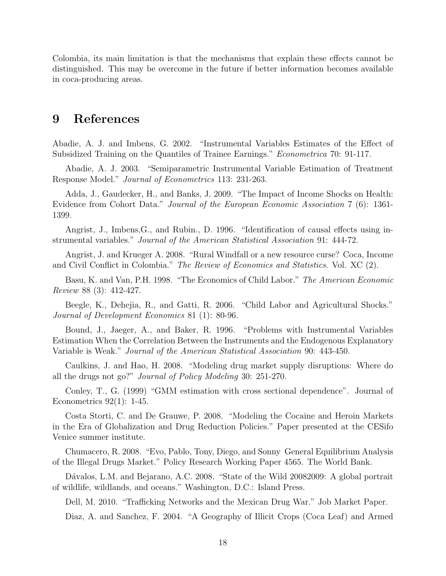Colombia, its main limitation is that the mechanisms that explain these effects cannot be distinguished. This may be overcome in the future if better information becomes available in coca-producing areas.

### 9 References

Abadie, A. J. and Imbens, G. 2002. "Instrumental Variables Estimates of the Effect of Subsidized Training on the Quantiles of Trainee Earnings." Econometrica 70: 91-117.

Abadie, A. J. 2003. "Semiparametric Instrumental Variable Estimation of Treatment Response Model." Journal of Econometrics 113: 231-263.

Adda, J., Gaudecker, H., and Banks, J. 2009. "The Impact of Income Shocks on Health: Evidence from Cohort Data." Journal of the European Economic Association 7 (6): 1361- 1399.

Angrist, J., Imbens,G., and Rubin., D. 1996. "Identification of causal effects using instrumental variables." Journal of the American Statistical Association 91: 444-72.

Angrist, J. and Krueger A. 2008. "Rural Windfall or a new resource curse? Coca, Income and Civil Conflict in Colombia." The Review of Economics and Statistics. Vol. XC (2).

Basu, K. and Van, P.H. 1998. "The Economics of Child Labor." The American Economic Review 88 (3): 412-427.

Beegle, K., Dehejia, R., and Gatti, R. 2006. "Child Labor and Agricultural Shocks." Journal of Development Economics 81 (1): 80-96.

Bound, J., Jaeger, A., and Baker, R. 1996. "Problems with Instrumental Variables Estimation When the Correlation Between the Instruments and the Endogenous Explanatory Variable is Weak." Journal of the American Statistical Association 90: 443-450.

Caulkins, J. and Hao, H. 2008. "Modeling drug market supply disruptions: Where do all the drugs not go?" Journal of Policy Modeling 30: 251-270.

Conley, T., G. (1999) "GMM estimation with cross sectional dependence". Journal of Econometrics  $92(1)$ : 1-45.

Costa Storti, C. and De Grauwe, P. 2008. "Modeling the Cocaine and Heroin Markets in the Era of Globalization and Drug Reduction Policies." Paper presented at the CESifo Venice summer institute.

Chumacero, R. 2008. "Evo, Pablo, Tony, Diego, and Sonny General Equilibrium Analysis of the Illegal Drugs Market." Policy Research Working Paper 4565. The World Bank.

Dávalos, L.M. and Bejarano, A.C. 2008. "State of the Wild 20082009: A global portrait of wildlife, wildlands, and oceans." Washington, D.C.: Island Press.

Dell, M. 2010. "Trafficking Networks and the Mexican Drug War." Job Market Paper.

Diaz, A. and Sanchez, F. 2004. "A Geography of Illicit Crops (Coca Leaf) and Armed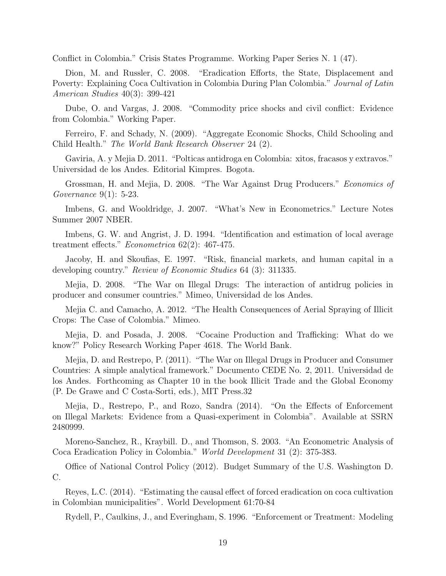Conflict in Colombia." Crisis States Programme. Working Paper Series N. 1 (47).

Dion, M. and Russler, C. 2008. "Eradication Efforts, the State, Displacement and Poverty: Explaining Coca Cultivation in Colombia During Plan Colombia." Journal of Latin American Studies 40(3): 399-421

Dube, O. and Vargas, J. 2008. "Commodity price shocks and civil conflict: Evidence from Colombia." Working Paper.

Ferreiro, F. and Schady, N. (2009). "Aggregate Economic Shocks, Child Schooling and Child Health." The World Bank Research Observer 24 (2).

Gaviria, A. y Mejia D. 2011. "Polticas antidroga en Colombia: xitos, fracasos y extravos." Universidad de los Andes. Editorial Kimpres. Bogota.

Grossman, H. and Mejia, D. 2008. "The War Against Drug Producers." *Economics of* Governance 9(1): 5-23.

Imbens, G. and Wooldridge, J. 2007. "What's New in Econometrics." Lecture Notes Summer 2007 NBER.

Imbens, G. W. and Angrist, J. D. 1994. "Identification and estimation of local average treatment effects." Econometrica 62(2): 467-475.

Jacoby, H. and Skoufias, E. 1997. "Risk, financial markets, and human capital in a developing country." Review of Economic Studies 64 (3): 311335.

Mejia, D. 2008. "The War on Illegal Drugs: The interaction of antidrug policies in producer and consumer countries." Mimeo, Universidad de los Andes.

Mejia C. and Camacho, A. 2012. "The Health Consequences of Aerial Spraying of Illicit Crops: The Case of Colombia." Mimeo.

Mejia, D. and Posada, J. 2008. "Cocaine Production and Trafficking: What do we know?" Policy Research Working Paper 4618. The World Bank.

Mejia, D. and Restrepo, P. (2011). "The War on Illegal Drugs in Producer and Consumer Countries: A simple analytical framework." Documento CEDE No. 2, 2011. Universidad de los Andes. Forthcoming as Chapter 10 in the book Illicit Trade and the Global Economy (P. De Grawe and C Costa-Sorti, eds.), MIT Press.32

Mejia, D., Restrepo, P., and Rozo, Sandra (2014). "On the Effects of Enforcement on Illegal Markets: Evidence from a Quasi-experiment in Colombia". Available at SSRN 2480999.

Moreno-Sanchez, R., Kraybill. D., and Thomson, S. 2003. "An Econometric Analysis of Coca Eradication Policy in Colombia." World Development 31 (2): 375-383.

Office of National Control Policy (2012). Budget Summary of the U.S. Washington D. C.

Reyes, L.C. (2014). "Estimating the causal effect of forced eradication on coca cultivation in Colombian municipalities". World Development 61:70-84

Rydell, P., Caulkins, J., and Everingham, S. 1996. "Enforcement or Treatment: Modeling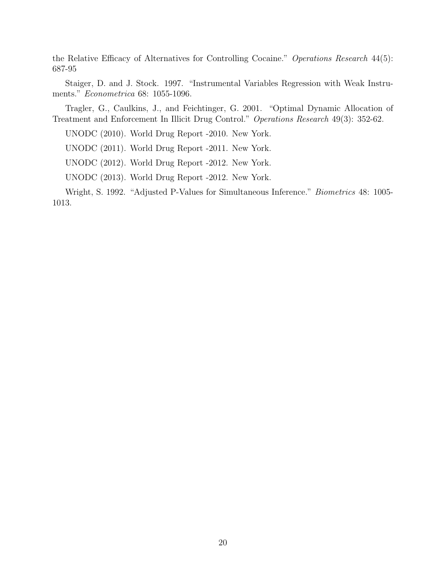the Relative Efficacy of Alternatives for Controlling Cocaine." Operations Research 44(5): 687-95

Staiger, D. and J. Stock. 1997. "Instrumental Variables Regression with Weak Instruments." Econometrica 68: 1055-1096.

Tragler, G., Caulkins, J., and Feichtinger, G. 2001. "Optimal Dynamic Allocation of Treatment and Enforcement In Illicit Drug Control." Operations Research 49(3): 352-62.

UNODC (2010). World Drug Report -2010. New York.

UNODC (2011). World Drug Report -2011. New York.

UNODC (2012). World Drug Report -2012. New York.

UNODC (2013). World Drug Report -2012. New York.

Wright, S. 1992. "Adjusted P-Values for Simultaneous Inference." Biometrics 48: 1005- 1013.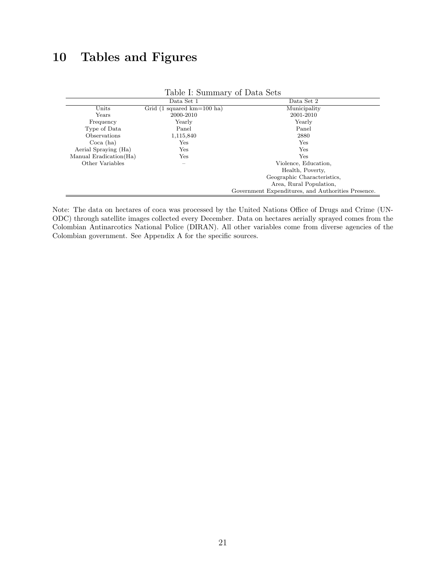## 10 Tables and Figures

|                         | Data Set 1                                   | Data Set 2                                         |
|-------------------------|----------------------------------------------|----------------------------------------------------|
| Units                   | Grid $(1 \text{ squared km}=100 \text{ ha})$ | Municipality                                       |
| Years                   | 2000-2010                                    | 2001-2010                                          |
| Frequency               | Yearly                                       | Yearly                                             |
| Type of Data            | Panel                                        | Panel                                              |
| Observations            | 1,115,840                                    | 2880                                               |
| Coca (ha)               | $_{\rm Yes}$                                 | Yes                                                |
| Aerial Spraying (Ha)    | $_{\rm Yes}$                                 | <b>Yes</b>                                         |
| Manual Eradication (Ha) | $_{\rm Yes}$                                 | <b>Yes</b>                                         |
| Other Variables         |                                              | Violence, Education,                               |
|                         |                                              | Health, Poverty,                                   |
|                         |                                              | Geographic Characteristics,                        |
|                         |                                              | Area, Rural Population,                            |
|                         |                                              | Government Expenditures, and Authorities Presence. |

#### <span id="page-20-0"></span>Table I: Summary of Data Sets

Note: The data on hectares of coca was processed by the United Nations Office of Drugs and Crime (UN-ODC) through satellite images collected every December. Data on hectares aerially sprayed comes from the Colombian Antinarcotics National Police (DIRAN). All other variables come from diverse agencies of the Colombian government. See Appendix A for the specific sources.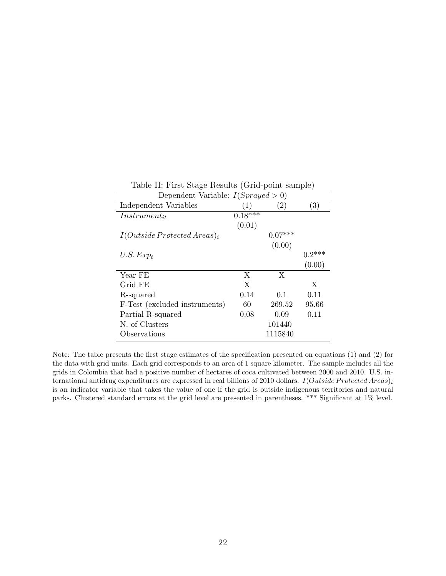| Dependent Variable: $I(Sprayed > 0)$ |           |                   |                   |
|--------------------------------------|-----------|-------------------|-------------------|
| Independent Variables                | (1)       | $\left( 2\right)$ | $\left( 3\right)$ |
| $Instrument_{it}$                    | $0.18***$ |                   |                   |
|                                      | (0.01)    |                   |                   |
| $I(Outside \, protected \, Area)_i$  |           | $0.07***$         |                   |
|                                      |           | (0.00)            |                   |
| $U.S. Exp_t$                         |           |                   | $0.2***$          |
|                                      |           |                   | (0.00)            |
| Year FE                              | X         | X                 |                   |
| Grid FE                              | X         |                   | X                 |
| R-squared                            | 0.14      | 0.1               | 0.11              |
| F-Test (excluded instruments)        | 60        | 269.52            | 95.66             |
| Partial R-squared                    | 0.08      | 0.09              | 0.11              |
| N. of Clusters                       |           | 101440            |                   |
| Observations                         |           | 1115840           |                   |

<span id="page-21-0"></span>Table II: First Stage Results (Grid-point sample)

Note: The table presents the first stage estimates of the specification presented on equations (1) and (2) for the data with grid units. Each grid corresponds to an area of 1 square kilometer. The sample includes all the grids in Colombia that had a positive number of hectares of coca cultivated between 2000 and 2010. U.S. international antidrug expenditures are expressed in real billions of 2010 dollars.  $I(Outside$   $Pre detected$   $Area)$ ; is an indicator variable that takes the value of one if the grid is outside indigenous territories and natural parks. Clustered standard errors at the grid level are presented in parentheses. \*\*\* Significant at 1% level.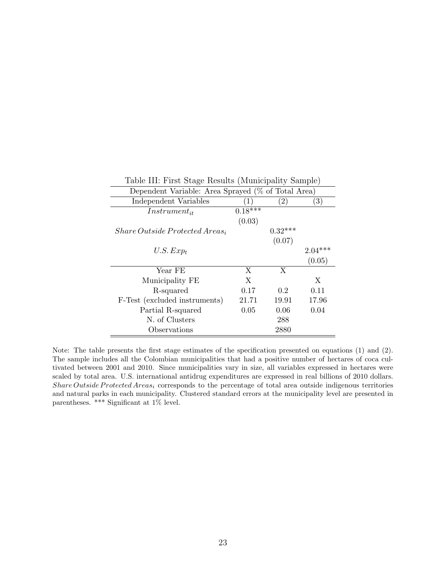| Dependent Variable: Area Sprayed (% of Total Area) |                  |                   |           |
|----------------------------------------------------|------------------|-------------------|-----------|
| Independent Variables                              | $\left(1\right)$ | $\left( 2\right)$ | (3)       |
| $Instrument_{it}$                                  | $0.18***$        |                   |           |
|                                                    | (0.03)           |                   |           |
| $Share\ Outside\ Proceed\ Area_i$                  |                  | $0.32***$         |           |
|                                                    |                  | (0.07)            |           |
| $U.S.$ $Exp_t$                                     |                  |                   | $2.04***$ |
|                                                    |                  |                   | (0.05)    |
| Year FE                                            | X                | X                 |           |
| Municipality FE                                    | X                |                   | X         |
| R-squared                                          | 0.17             | 0.2               | 0.11      |
| F-Test (excluded instruments)                      | 21.71            | 19.91             | 17.96     |
| Partial R-squared                                  | 0.05             | 0.06              | 0.04      |
| N. of Clusters                                     |                  | 288               |           |
| Observations                                       |                  | 2880              |           |

<span id="page-22-0"></span>Table III: First Stage Results (Municipality Sample)

Note: The table presents the first stage estimates of the specification presented on equations (1) and (2). The sample includes all the Colombian municipalities that had a positive number of hectares of coca cultivated between 2001 and 2010. Since municipalities vary in size, all variables expressed in hectares were scaled by total area. U.S. international antidrug expenditures are expressed in real billions of 2010 dollars. Share Outside Protected Areas<sub>i</sub> corresponds to the percentage of total area outside indigenous territories and natural parks in each municipality. Clustered standard errors at the municipality level are presented in parentheses. \*\*\* Significant at 1% level.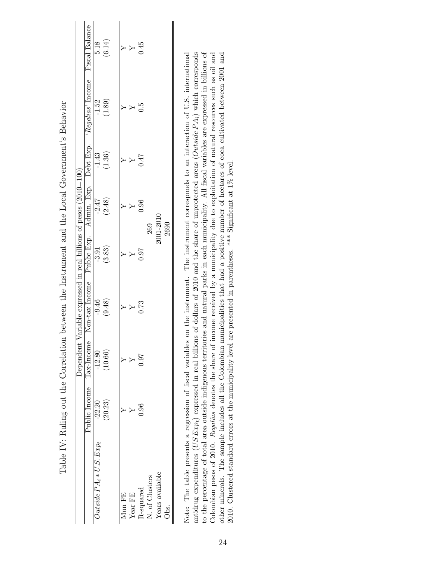<span id="page-23-0"></span>

|                             |                         | Dependen      | tt Variable expressed in real billions of pesos (2010=100) |            |           |         |                                                                                   |                  |
|-----------------------------|-------------------------|---------------|------------------------------------------------------------|------------|-----------|---------|-----------------------------------------------------------------------------------|------------------|
|                             | Public Income Tax-Incom | $\frac{1}{2}$ |                                                            |            |           |         | Non-tax Income Public Exp. Admin. Exp. Debt Exp. 'Regalias' Income Fiscal Balance |                  |
| $Outside\,PA_i*U.S.\,Exp_t$ | $-22.20$                | $-12.80$      | $-9.46$                                                    | $-3.91$    | $-2.47$   | $-1.43$ | $-1.52$                                                                           |                  |
|                             | (20.23)                 | (10.66)       | (9.48)                                                     | (3.83)     | (2.48)    | (1.36)  | (1.89)                                                                            | $5.18$<br>(6.14) |
| Mun FE                      |                         |               |                                                            |            |           |         |                                                                                   |                  |
| Year FE                     |                         |               |                                                            |            |           |         |                                                                                   | Y<br>Y           |
| R-squared                   | 0.96                    | 7.97          | 0.73                                                       | <b>160</b> | 0.96      | 147     | G.C                                                                               | 1.45             |
| N. of Clusters              |                         |               |                                                            |            | 269       |         |                                                                                   |                  |
| Years available             |                         |               |                                                            |            | 2001-2010 |         |                                                                                   |                  |
| Obs.                        |                         |               |                                                            |            | 2690      |         |                                                                                   |                  |
|                             |                         |               |                                                            |            |           |         |                                                                                   |                  |

Table IV: Ruling out the Correlation between the Instrument and the Local Government's Behavior Table IV: Ruling out the Correlation between the Instrument and the Local Government's Behavior Note: The table presents a regression of fiscal variables on the instrument. The instrument corresponds to an interaction of U.S. international antidrug expenditures (US Exp<sub>t</sub>) expressed in real billions of dollars of 2010 and the share of unprotected areas (Outside P $A_i$ ) which corresponds to the percentage of total area outside indigenous territories and natural parks in each municipality. All fiscal variables are expressed in billions of Colombian pesos of 2010. Regalías denotes the share of income received by a municipality due to exploitation of natural resources such as oil and other minerals. The sample includes all the Colombian municipalities that had a positive number of hectares of coca cultivated between 2001 and Note: The table presents a regression of fiscal variables on the instrument. The instrument corresponds to an interaction of U.S. international antidrug expenditures (US Exp<sub>t</sub>) expressed in real billions of dollars of 2010 and the share of unprotected areas (Outside PA<sub>i</sub>) which corresponds to the percentage of total area outside indigenous territories and natural parks in each municipality. All fiscal variables are expressed in billions of Colombian pesos of 2010. Regalías denotes the share of income received by a municipality due to exploitation of natural resources such as oil and other minerals. The sample includes all the Colombian municipalities that had a positive number of hectares of coca cultivated between 2001 and 2010. Clustered standard errors at the municipality level are presented in parentheses. \*\*\* Significant at 1% level. 2010. Clustered standard errors at the municipality level are presented in parentheses. \*\*\* Significant at 1% level.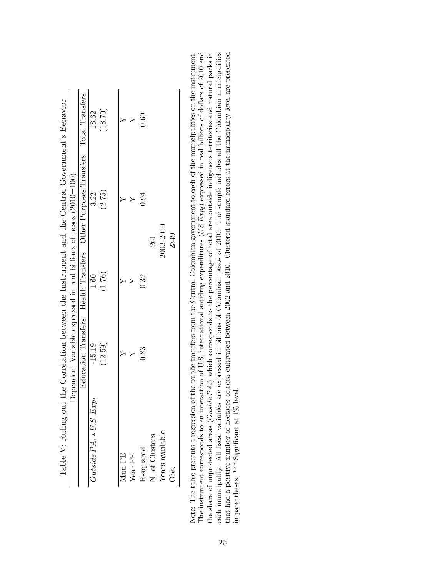|                                                                              |                                                                   |                                                                               | 18.62                       | (18.70) |        | Υ                            | 0.69 |                                                    |                 |      |
|------------------------------------------------------------------------------|-------------------------------------------------------------------|-------------------------------------------------------------------------------|-----------------------------|---------|--------|------------------------------|------|----------------------------------------------------|-----------------|------|
| the Correlation between the Instrument and the Central Government's Behavior |                                                                   | Education Transfers Health Transfers Other Purposes Transfers Total Transfers | 3.22                        | (2.75)  |        |                              | 0.94 | 261                                                | 2002-2010       | 2349 |
|                                                                              |                                                                   |                                                                               | 1.60                        | (1.76)  |        |                              | 0.32 |                                                    |                 |      |
|                                                                              | Dependent Variable expressed in real billions of pesos (2010=100) |                                                                               | $-15.19$                    | (12.59) |        |                              | 0.83 |                                                    |                 |      |
| Table V: Ruling out                                                          |                                                                   |                                                                               | $Outside\,PA_i*U.S.\,Exp_t$ |         | Mun FE | $\mbox{Year}$<br>$\mbox{FE}$ |      | ${\bf R}\mbox{-squared} \\ {\bf N.\ of\ Clusters}$ | Years available | Obs. |

<span id="page-24-0"></span>the share of unprotected areas  $(Ouside\,PA_i)$  which corresponds to the percentage of total area outside indigenous territories and natural parks in each municipality. All fiscal variables are expressed in billions of Colombian pesos of 2010. The sample includes all the Colombian municipalities Note: The table presents a regression of the public transfers from the Central Colombian government to each of the municipalities on the instrument. The instrument corresponds to an interaction of U.S. international antidrug expenditures  $(US Exp<sub>i</sub>)$  expressed in real billions of dollars of 2010 and that had a positive number of hectares of coca cultivated between 2002 and 2010. Clustered standard errors at the municipality level are presented The instrument corresponds to an interaction of U.S. international antidrug expenditures  $(USExp_t)$  expressed in real billions of dollars of 2010 and the share of unprotected areas  $(Outside PA_i)$  which corresponds to the percentage of total area outside indigenous territories and natural parks in each municipality. All fiscal variables are expressed in billions of Colombian pesos of 2010. The sample includes all the Colombian municipalities that had a positive number of hectares of coca cultivated between 2002 and 2010. Clustered standard errors at the municipality level are presented Note: The table presents a regression of the public transfers from the Central Colombian government to each of the municipalities on the instrument. in parentheses. \*\*\* Significant at  $1\%$  level. in parentheses. \*\*\* Significant at 1% level.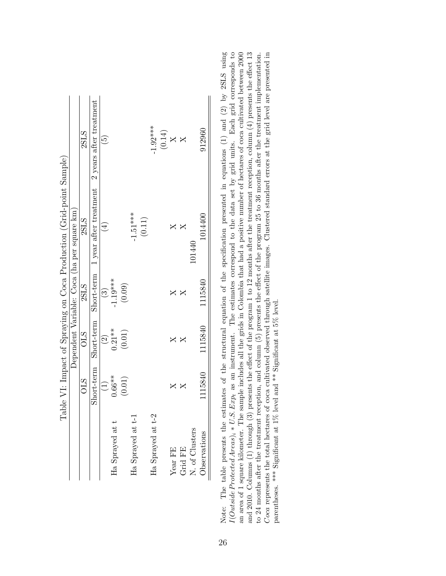|                                                                       |                 |               |            | Table VI: Impact of Spraying on Coca Production (Grid-point Sample) |                          |
|-----------------------------------------------------------------------|-----------------|---------------|------------|---------------------------------------------------------------------|--------------------------|
|                                                                       |                 |               |            | Dependent Variable: Coca (ha per square km)                         |                          |
|                                                                       | <b>CTO</b>      | OLS           | 2SLS       | 2SLS                                                                | 2SLS                     |
|                                                                       | Short-term      | Short-term    | Short-term | 1 year after treatment                                              | 2 years after treatment  |
|                                                                       | $\widehat{\Xi}$ | $\widehat{c}$ | $\odot$    | $\left(\frac{1}{2}\right)$                                          | $\widetilde{\mathbf{e}}$ |
| Ha Sprayed at t                                                       | $0.66**$        | $0.21**$      | $-1.19***$ |                                                                     |                          |
|                                                                       | (0.01)          | (0.01)        | (0.09)     |                                                                     |                          |
| Ha Sprayed at t-                                                      |                 |               |            | $-1.51***$                                                          |                          |
|                                                                       |                 |               |            | $\left( 0.11\right)$                                                |                          |
| Ha Sprayed at t-2                                                     |                 |               |            |                                                                     | $-1.92***$               |
|                                                                       |                 |               |            |                                                                     | $\left(0.14\right)$      |
| Year FE                                                               | ×               |               |            |                                                                     | $\mathsf{X}$             |
| Grid FE                                                               |                 |               |            |                                                                     |                          |
| N. of Clusters                                                        |                 |               |            | 101440                                                              |                          |
| $\begin{minipage}{.4\linewidth} \textbf{Observations} \end{minipage}$ | 1115840         | 1115840       | 1115840    | 1014400                                                             | 912960                   |
|                                                                       |                 |               |            |                                                                     |                          |

<span id="page-25-0"></span>Note: The table presents the estimates of the structural equation of the specification presented in equations (1) and (2) by 2SLS using  $I(Outside Ported Areas)_i * U.S. Exp_t$  as an instrument. The estimates correspond to the data set by grid units. Each grid corresponds to an area of 1 square kilometer. The sample includes all the grids in Colombia that had a positive number of hectares of coca cultivated between 2000 and 2010. Columns (1) through (3) presents the effect of the program 1 to 12 months after the treatment reception, column  $(4)$  presents the effect 13 Coca represents the total hectares of coca cultivated observed through satellite images. Clustered standard errors at the grid level are presented in to 24 months after the treatment reception, and column  $(5)$  presents the effect of the program 25 to 36 months after the treatment implementation. Note: The table presents the estimates of the structural equation of the specification presented in equations (1) and (2) by 2SLS using  $I(Outside Protocol Area)_i * U.S. Exp_t$  as an instrument. The estimates correspond to the data set by grid units. Each grid corresponds to an area of 1 square kilometer. The sample includes all the grids in Colombia that had a positive number of hectares of coca cultivated between 2000 and 2010. Columns (1) through (3) presents the effect of the program 1 to 12 months after the treatment reception, column (4) presents the effect 13 Coca represents the total hectares of coca cultivated observed through satellite images. Clustered standard errors at the grid level are presented in to 24 months after the treatment reception, and column (5) presents the effect of the program 25 to 36 months after the treatment implementation. parentheses. \*\*\* Significant at 1% level and \*\* Significant at 5% level. parentheses. \*\*\* Significant at 1% level and \*\* Significant at 5% level.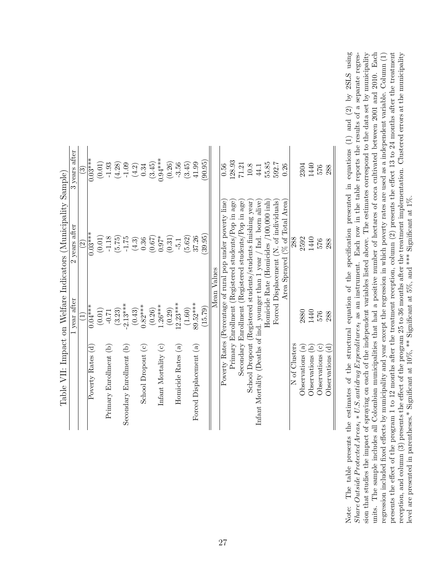|                                                               | years after | ಲ್                        | $0.03***$         | (0.01) | $-1.93$                | (4.28)   | $-1.09$                               | (4.2)   | 0.34               | (3.45) | $0.94***$              | (0.26) | $-3.56$            | (3.45) | 41.99                   | (90.95) |             | 0.56                                                      | 128.93                                             | 71.21                                                 | $10.8\,$                                                    | 44.1                                                                    | 55.85                                  | 592.7                                  | 0.26                              |               | 2304               | 1440              | 576                               | 288               |  |
|---------------------------------------------------------------|-------------|---------------------------|-------------------|--------|------------------------|----------|---------------------------------------|---------|--------------------|--------|------------------------|--------|--------------------|--------|-------------------------|---------|-------------|-----------------------------------------------------------|----------------------------------------------------|-------------------------------------------------------|-------------------------------------------------------------|-------------------------------------------------------------------------|----------------------------------------|----------------------------------------|-----------------------------------|---------------|--------------------|-------------------|-----------------------------------|-------------------|--|
| Table VII: Impact on Welfare Indicators (Municipality Sample) | years after | $\widetilde{\mathcal{S}}$ | $0.03***$         | (0.01) | $-1.18$                | (5.75)   | $-1.75$                               | $(4.3)$ | 0.36               | (0.67) | $0.97*$                | (0.31) | $-5.1$             | (5.62) | 37.26                   | (39.95) | Mean Values | Poverty Rates (Percentage of rural pop under poverty line | Primary Enrollment (Registered students/Pop in age | Secondary Enrollment (Registered students/Pop in age) | School Dropout (Registered students/students finishing year |                                                                         | Homicide Rate (Homicides /100,000 inh) | Forced Displacement (N. of individuals | (% of Total Area)<br>Area Sprayed | 288           | 2592               | 1440              | 576                               | 288               |  |
|                                                               | year after  |                           | $0.04***$         | (0.01) | $-0.71$                | $(3.23)$ | $-2.13***$                            | (0.43)  | $0.82***$          | (0.26) | $1.26***$              | (0.29) | $12.23***$         | (1.60) | 89.52***                | (15.79) |             |                                                           |                                                    |                                                       |                                                             |                                                                         |                                        |                                        |                                   |               | 2880               | 1440              | 576                               | 288               |  |
|                                                               |             |                           | Poverty Rates (d) |        | Primary Enrollment (b) |          | $\widehat{e}$<br>Secondary Enrollment |         | School Dropout (c) |        | Infant Mortality $(c)$ |        | Homicide Rates (a) |        | Forced Displacement (a) |         |             |                                                           |                                                    |                                                       |                                                             | Infant Mortality (Deaths of ind. younger than 1 year / Ind. born alive) |                                        |                                        |                                   | N of Clusters | ලි<br>Observations | ē<br>Observations | $\widehat{\circ}$<br>Observations | ਦ<br>Observations |  |

<span id="page-26-0"></span>reception, and column (3) presents the effect of the program 25 to 36 months after the treatment implementation. Clustered errors at the municipality level are presented in parentheses.\* Significant at  $10\%$ , \*\* Signific Note: The table presents the estimates of the structural equation of the specification presented in equations (1) and (2) by 2SLS using Share Outside Protected Areas; \* U.S. antidrug Expenditures, as an instrument. Each row in the table reports the results of a separate regression that studies the impact of spraying on each of the independent variables listed above. The estimates correspond to the data set by municipality regression included fixed effects by municipality and year except the regression in which poverty rates are used as a independent variable. Column (1) presents the effect of the program 1 to 12 months after the treatment reception, column (2) presents the effect 13 to 24 months after the treatment Note: The table presents the estimates of the structural equation of the specification presented in equations (1) and (2) by 2SLS using Share Outside Protected Areas<sub>i</sub> \* U.S. antidrug Expenditures<sub>t</sub> as an instrument. Each row in the table reports the results of a separate regression that studies the impact of spraying on each of the independent variables listed above. The estimates correspond to the data set by municipality units. The sample includes all Colombian municipalities that had a positive number of hectares of coca cultivated between 2001 and 2010. Each units. The sample includes all Colombian municipalities that had a positive number of hectares of coca cultivated between 2001 and 2010. Each reception, and column (3) presents the effect of the program 25 to 36 months after the treatment implementation. Clustered errors at the municipality regression included fixed effects by municipality and year except the regression in which poverty rates are used as a independent variable. Column (1) presents the effect of the program 1 to 12 months after the treatment reception, column (2) presents the effect 13 to 24 months after the treatment level are presented in parentheses.\* Significant at 10%, \*\* Significant at 5%, and \*\*\* Significant at 1%.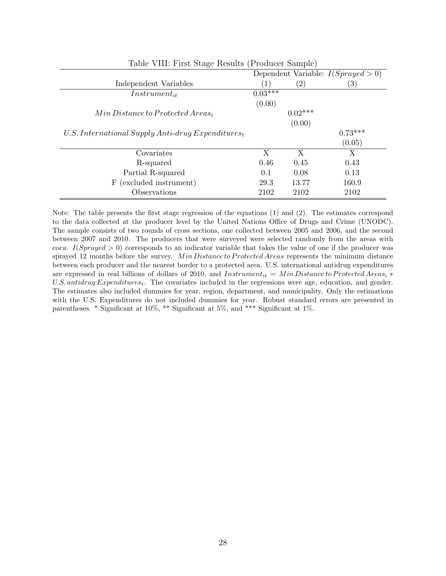<span id="page-27-0"></span>

| Table VIII: First Stage Results (Producer Sample)     |                  |                   |                                      |
|-------------------------------------------------------|------------------|-------------------|--------------------------------------|
|                                                       |                  |                   | Dependent Variable: $I(Sprayed > 0)$ |
| Independent Variables                                 | $\left(1\right)$ | $\left( 2\right)$ | $\left( 3\right)$                    |
| $Instrument_{it}$                                     | $0.03***$        |                   |                                      |
|                                                       | (0.00)           |                   |                                      |
| $Min Distance to protected Areas_i$                   |                  | $0.02***$         |                                      |
|                                                       |                  | (0.00)            |                                      |
| U.S. International Supply Anti-drug Expenditures $_t$ |                  |                   | $0.73***$                            |
|                                                       |                  |                   | (0.05)                               |
| Covariates                                            | X                | X                 | X                                    |
| R-squared                                             | 0.46             | 0.45              | 0.43                                 |
| Partial R-squared                                     | 0.1              | 0.08              | 0.13                                 |
| (excluded instrument)<br>F                            | 29.3             | 13.77             | 160.9                                |
| Observations                                          | 2102             | 2102              | 2102                                 |

Note: The table presents the first stage regression of the equations (1) and (2). The estimates correspond to the data collected at the producer level by the United Nations Office of Drugs and Crime (UNODC). The sample consists of two rounds of cross sections, one collected between 2005 and 2006, and the second between 2007 and 2010. The producers that were surveyed were selected randomly from the areas with coca. I(Sprayed  $> 0$ ) corresponds to an indicator variable that takes the value of one if the producer was sprayed 12 months before the survey. Min Distance to Protected Areas represents the minimum distance between each producer and the nearest border to a protected area. U.S. international antidrug expenditures are expressed in real billions of dollars of 2010, and Instrument<sub>it</sub> = M in Distance to Protected Areas<sub>i</sub> \* U.S. antidrug Expenditures<sub>t</sub>. The covariates included in the regressions were age, education, and gender. The estimates also included dummies for year, region, department, and municipality. Only the estimations with the U.S. Expenditures do not included dummies for year. Robust standard errors are presented in parentheses. \* Significant at 10%, \*\* Significant at 5%, and \*\*\* Significant at 1%.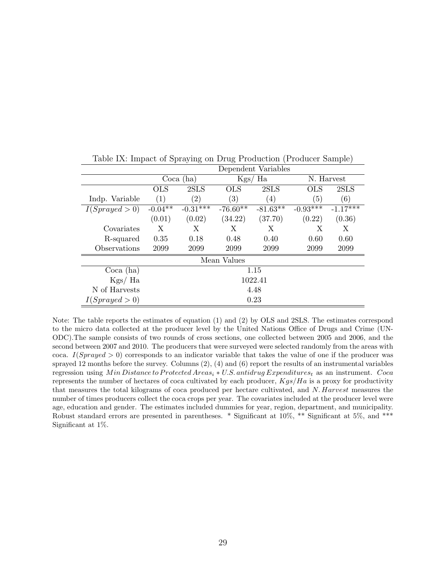|                |            |               |                  | Dependent Variables |                  |            |
|----------------|------------|---------------|------------------|---------------------|------------------|------------|
|                |            | Coca (ha)     |                  | Kgs/ Ha             |                  | N. Harvest |
|                | <b>OLS</b> | 2SLS          | <b>OLS</b>       | 2SLS                | $_{\rm OLS}$     | 2SLS       |
| Indp. Variable | (1)        | $^{\prime}2)$ | $\left(3\right)$ | (4)                 | $\left(5\right)$ | (6)        |
| I(Sprayed > 0) | $-0.04**$  | $-0.31***$    | $-76.60**$       | $-81.63**$          | $-0.93***$       | $-1.17***$ |
|                | (0.01)     | (0.02)        | (34.22)          | (37.70)             | (0.22)           | (0.36)     |
| Covariates     | X          | X             | X                | X                   | Х                | X          |
| R-squared      | 0.35       | 0.18          | 0.48             | 0.40                | 0.60             | 0.60       |
| Observations   | 2099       | 2099          | 2099             | 2099                | 2099             | 2099       |
|                |            |               | Mean Values      |                     |                  |            |
| Coca (ha)      |            |               |                  | 1.15                |                  |            |
| Kgs/Ha         |            |               |                  | 1022.41             |                  |            |
| N of Harvests  |            |               |                  | 4.48                |                  |            |
| I(Sprayed > 0) |            |               |                  | 0.23                |                  |            |

<span id="page-28-0"></span>Table IX: Impact of Spraying on Drug Production (Producer Sample)

Note: The table reports the estimates of equation (1) and (2) by OLS and 2SLS. The estimates correspond to the micro data collected at the producer level by the United Nations Office of Drugs and Crime (UN-ODC).The sample consists of two rounds of cross sections, one collected between 2005 and 2006, and the second between 2007 and 2010. The producers that were surveyed were selected randomly from the areas with coca. I(Sprayed  $> 0$ ) corresponds to an indicator variable that takes the value of one if the producer was sprayed 12 months before the survey. Columns (2), (4) and (6) report the results of an instrumental variables regression using Min Distance to Protected Areas<sub>i</sub> ∗ U.S. antidrug Expenditures<sub>t</sub> as an instrument. Coca represents the number of hectares of coca cultivated by each producer,  $Kgs/Ha$  is a proxy for productivity that measures the total kilograms of coca produced per hectare cultivated, and N. Harvest measures the number of times producers collect the coca crops per year. The covariates included at the producer level were age, education and gender. The estimates included dummies for year, region, department, and municipality. Robust standard errors are presented in parentheses. \* Significant at 10%, \*\* Significant at 5%, and \*\*\* Significant at 1%.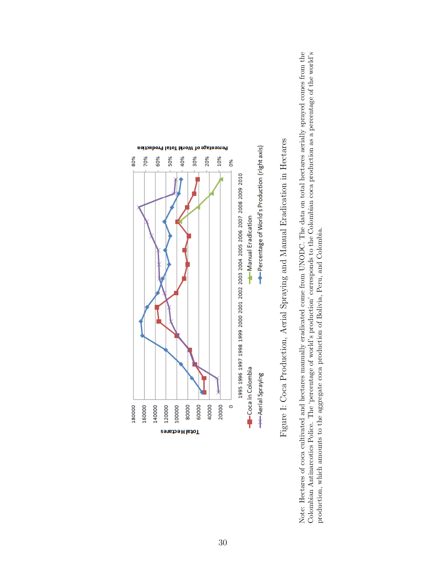

Figure I: Coca Production, Aerial Spraying and Manual Eradication in Hectares Figure I: Coca Production, Aerial Spraying and Manual Eradication in Hectares

<span id="page-29-0"></span>Colombian Antinarcotics Police. The 'percentage of world's production' corresponds to the Colombian coca production as a percentage of the world's Note: Hectares of coca cultivated and hectares manually eradicated come from UNODC. The data on total hectares aerially sprayed comes from the Note: Hectares of coca cultivated and hectares manually eradicated come from UNODC. The data on total hectares aerially sprayed comes from the Colombian Antinarcotics Police. The 'percentage of world's production' corresponds to the Colombian coca production as a percentage of the world's production, which amounts to the aggregate coca production of Bolivia, Peru, and Colombia. production, which amounts to the aggregate coca production of Bolivia, Peru, and Colombia.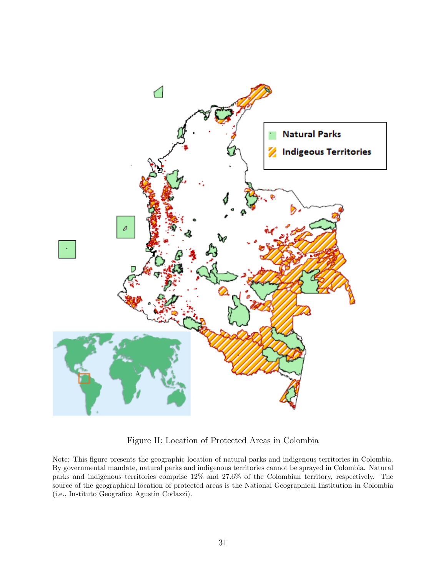

<span id="page-30-0"></span>Figure II: Location of Protected Areas in Colombia

Note: This figure presents the geographic location of natural parks and indigenous territories in Colombia. By governmental mandate, natural parks and indigenous territories cannot be sprayed in Colombia. Natural parks and indigenous territories comprise 12% and 27.6% of the Colombian territory, respectively. The source of the geographical location of protected areas is the National Geographical Institution in Colombia (i.e., Instituto Geografico Agustin Codazzi).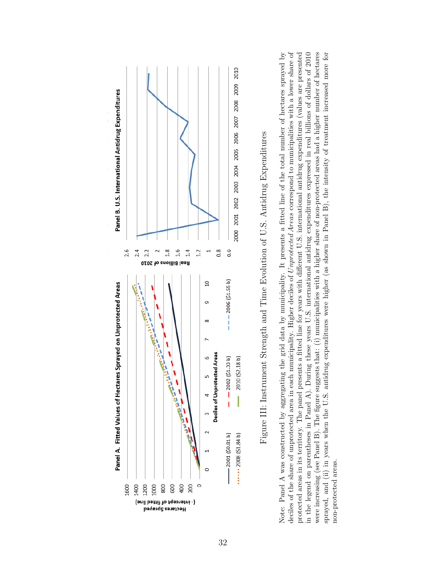

Figure III: Instrument Strength and Time Evolution of U.S. Antidrug Expenditures Figure III: Instrument Strength and Time Evolution of U.S. Antidrug Expenditures

<span id="page-31-0"></span>deciles of the share of unprotected area in each municipality. Higher deciles of Unprotected Areas correspond to municipalities with a lower share of in the legend on parentheses in Panel A). During these years U.S. international antidrug expenditures expressed in real billions of dollars of 2010 were increasing (see Panel B). The figure suggests that: (i) municipalities with a higher share of non-protected areas had a higher number of hectares sprayed, and (ii) in years when the U.S. antidrug expenditures were higher (as shown in Panel B), the intensity of treatment increased more for deciles of the share of unprotected area in each municipality. Higher deciles of Unprotected Areas correspond to municipalities with a lower share of protected areas in its territory. The panel presents a fitted line for years with different U.S. international antidrug expenditures (values are presented Note: Panel A was constructed by aggregating the grid data by municipality. It presents a fitted line of the total number of hectares sprayed by Note: Panel A was constructed by aggregating the grid data by municipality. It presents a fitted line of the total number of hectares sprayed by protected areas in its territory. The panel presents a fitted line for years with different U.S. international antidrug expenditures (values are presented in the legend on parentheses in Panel A). During these years U.S. international antidrug expenditures expressed in real billions of dollars of 2010 were increasing (see Panel B). The figure suggests that: (i) municipalities with a higher share of non-protected areas had a higher number of hectares sprayed, and (ii) in years when the U.S. antidrug expenditures were higher (as shown in Panel B), the intensity of treatment increased more for non-protected areas. non-protected areas.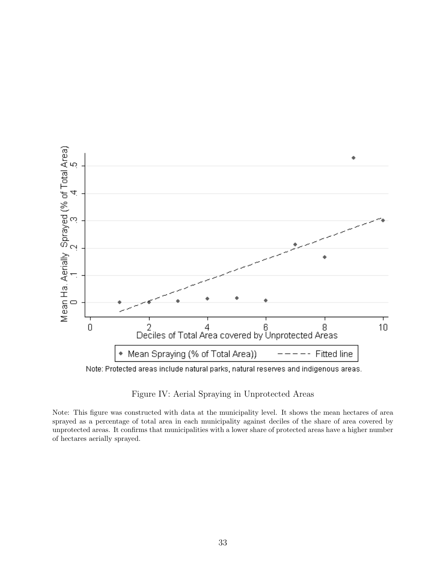

Note: Protected areas include natural parks, natural reserves and indigenous areas.

<span id="page-32-0"></span>Figure IV: Aerial Spraying in Unprotected Areas

Note: This figure was constructed with data at the municipality level. It shows the mean hectares of area sprayed as a percentage of total area in each municipality against deciles of the share of area covered by unprotected areas. It confirms that municipalities with a lower share of protected areas have a higher number of hectares aerially sprayed.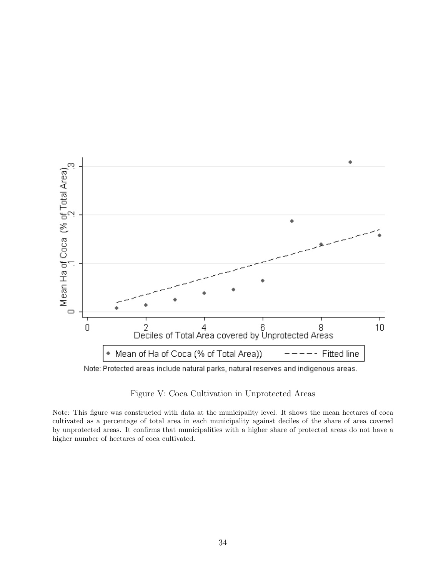

<span id="page-33-0"></span>Figure V: Coca Cultivation in Unprotected Areas

Note: This figure was constructed with data at the municipality level. It shows the mean hectares of coca cultivated as a percentage of total area in each municipality against deciles of the share of area covered by unprotected areas. It confirms that municipalities with a higher share of protected areas do not have a higher number of hectares of coca cultivated.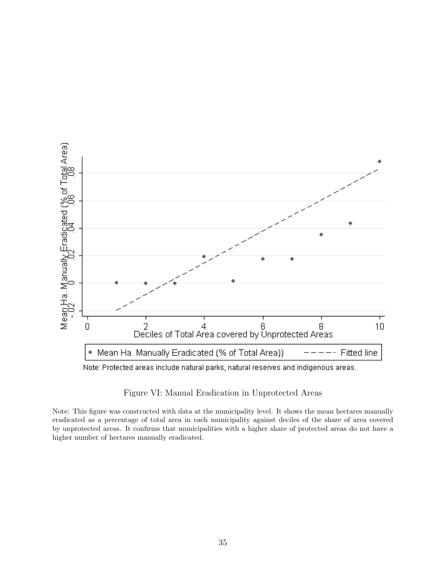

<span id="page-34-0"></span>Figure VI: Manual Eradication in Unprotected Areas

Note: This figure was constructed with data at the municipality level. It shows the mean hectares manually eradicated as a percentage of total area in each municipality against deciles of the share of area covered by unprotected areas. It confirms that municipalities with a higher share of protected areas do not have a higher number of hectares manually eradicated.